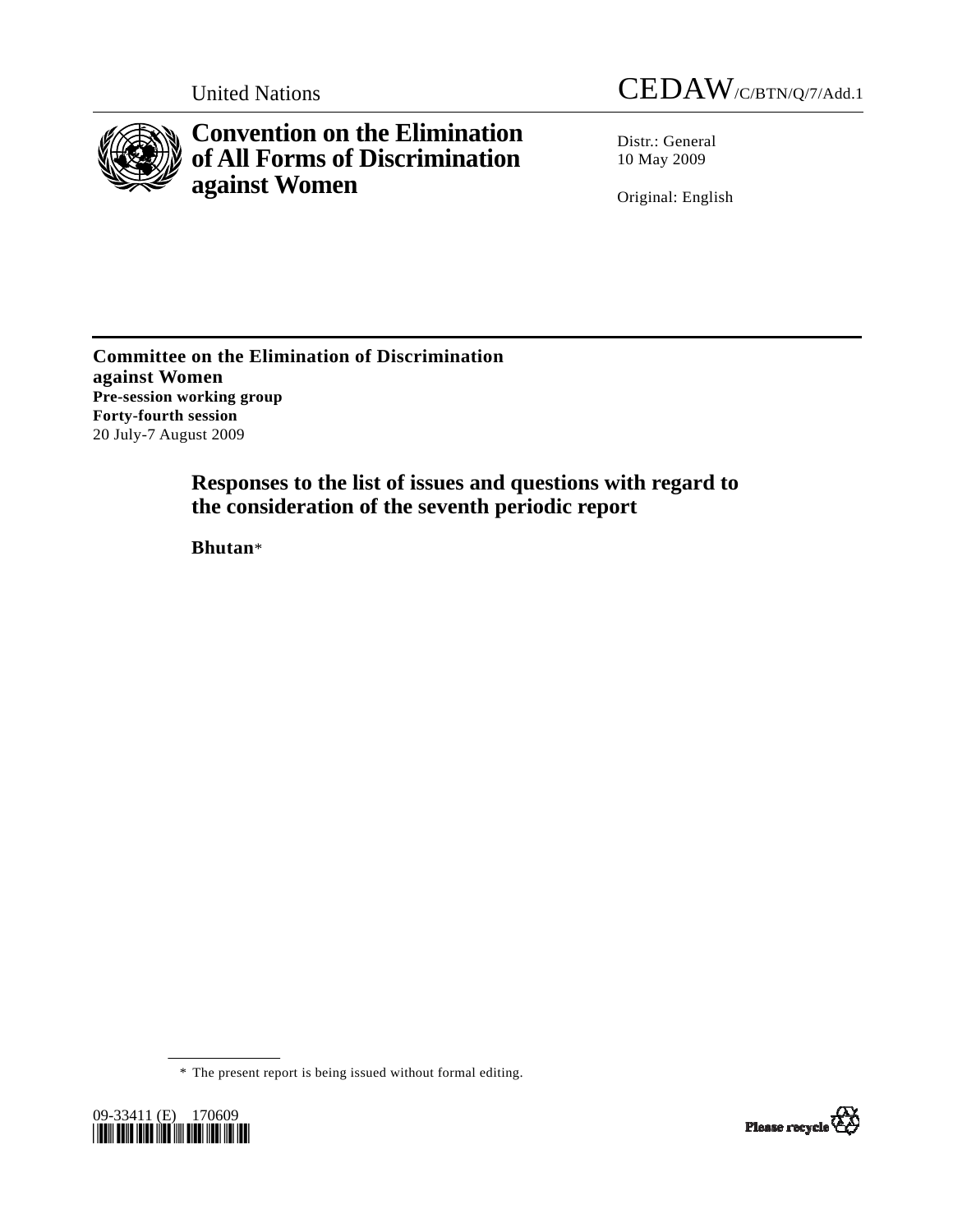



**Convention on the Elimination of All Forms of Discrimination against Women** 

Distr.: General 10 May 2009

Original: English

**Committee on the Elimination of Discrimination against Women Pre-session working group Forty-fourth session**  20 July-7 August 2009

> **Responses to the list of issues and questions with regard to the consideration of the seventh periodic report**

 **Bhutan**\*

\* The present report is being issued without formal editing.



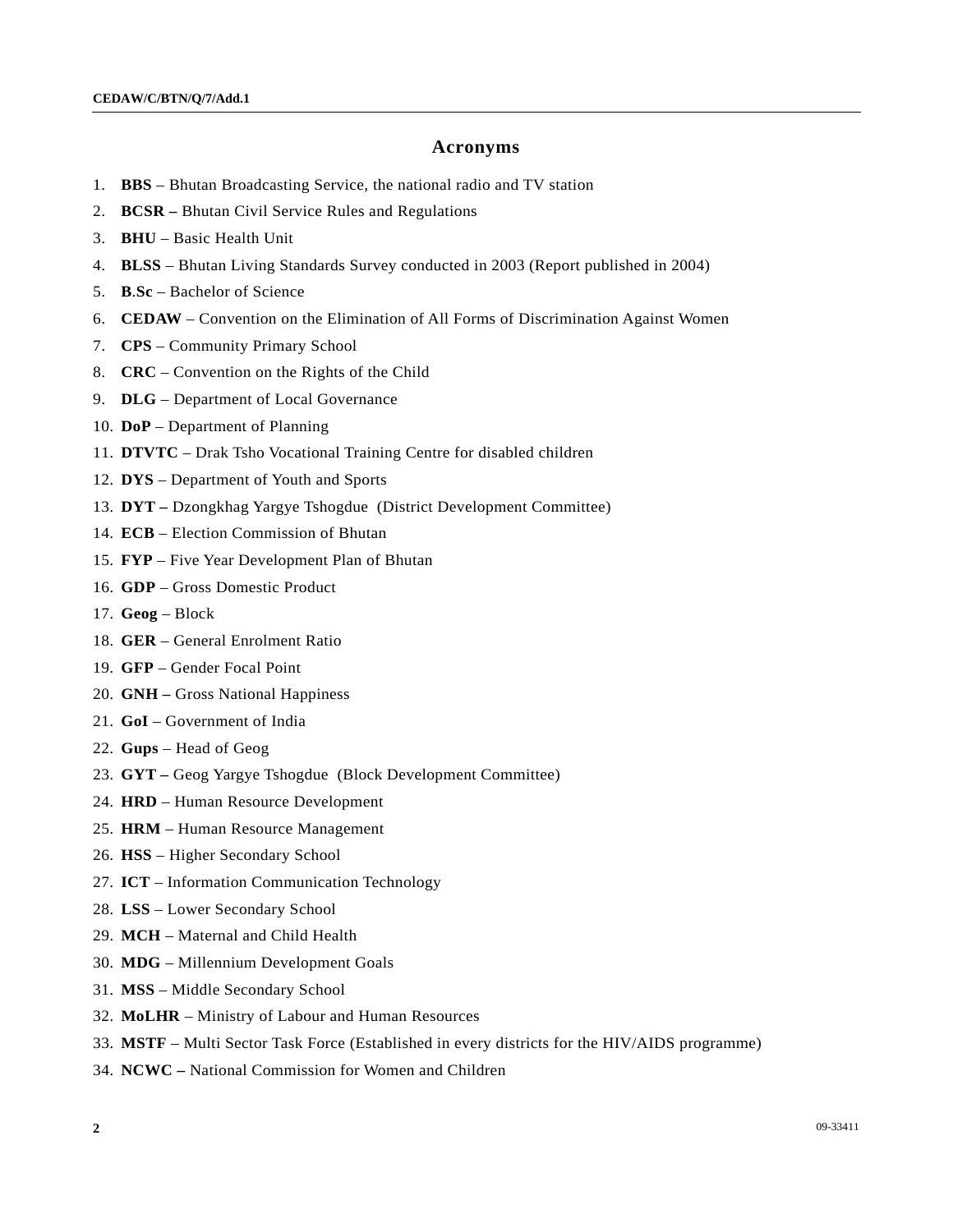#### **Acronyms**

- 1. **BBS** Bhutan Broadcasting Service, the national radio and TV station
- 2. **BCSR** Bhutan Civil Service Rules and Regulations
- 3. **BHU** Basic Health Unit
- 4. **BLSS** Bhutan Living Standards Survey conducted in 2003 (Report published in 2004)
- 5. **B**.**Sc** Bachelor of Science
- 6. **CEDAW** Convention on the Elimination of All Forms of Discrimination Against Women
- 7. **CPS** Community Primary School
- 8. **CRC** Convention on the Rights of the Child
- 9. **DLG** Department of Local Governance
- 10. **DoP** Department of Planning
- 11. **DTVTC** Drak Tsho Vocational Training Centre for disabled children
- 12. **DYS** Department of Youth and Sports
- 13. **DYT –** Dzongkhag Yargye Tshogdue (District Development Committee)
- 14. **ECB** Election Commission of Bhutan
- 15. **FYP** Five Year Development Plan of Bhutan
- 16. **GDP** Gross Domestic Product
- 17. **Geog**  Block
- 18. **GER** General Enrolment Ratio
- 19. **GFP** Gender Focal Point
- 20. **GNH** Gross National Happiness
- 21. **GoI** Government of India
- 22. **Gups**  Head of Geog
- 23. **GYT** Geog Yargye Tshogdue (Block Development Committee)
- 24. **HRD** Human Resource Development
- 25. **HRM** Human Resource Management
- 26. **HSS** Higher Secondary School
- 27. **ICT** Information Communication Technology
- 28. **LSS** Lower Secondary School
- 29. **MCH** Maternal and Child Health
- 30. **MDG** Millennium Development Goals
- 31. **MSS** Middle Secondary School
- 32. **MoLHR** Ministry of Labour and Human Resources
- 33. **MSTF** Multi Sector Task Force (Established in every districts for the HIV/AIDS programme)
- 34. **NCWC** National Commission for Women and Children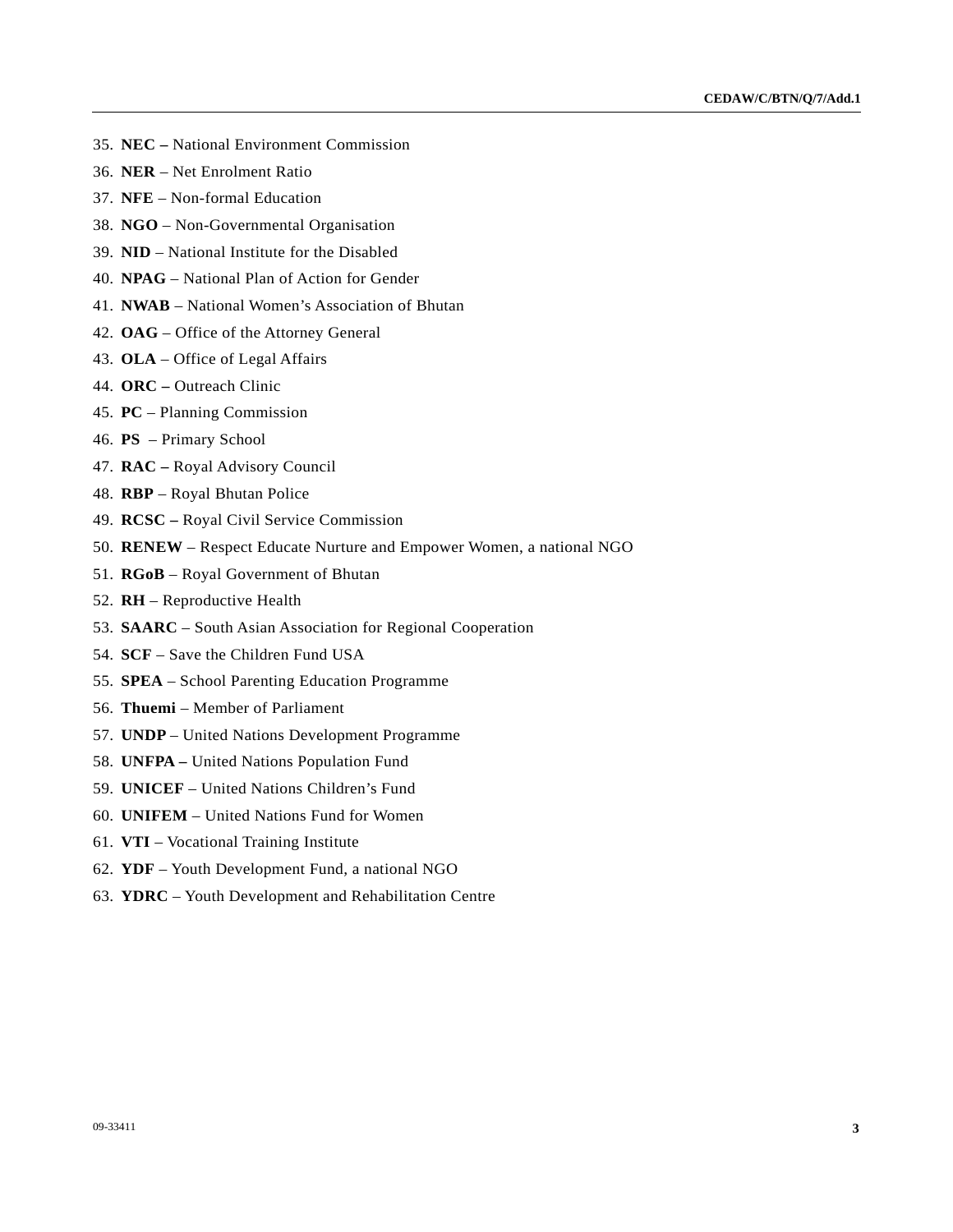- 35. **NEC** National Environment Commission
- 36. **NER** Net Enrolment Ratio
- 37. **NFE** Non-formal Education
- 38. **NGO** Non-Governmental Organisation
- 39. **NID** National Institute for the Disabled
- 40. **NPAG** National Plan of Action for Gender
- 41. **NWAB** National Women's Association of Bhutan
- 42. **OAG** Office of the Attorney General
- 43. **OLA** Office of Legal Affairs
- 44. **ORC –** Outreach Clinic
- 45. **PC** Planning Commission
- 46. **PS**  Primary School
- 47. **RAC** Royal Advisory Council
- 48. **RBP** Royal Bhutan Police
- 49. **RCSC** Royal Civil Service Commission
- 50. **RENEW** Respect Educate Nurture and Empower Women, a national NGO
- 51. **RGoB** Royal Government of Bhutan
- 52. **RH** Reproductive Health
- 53. **SAARC** South Asian Association for Regional Cooperation
- 54. **SCF** Save the Children Fund USA
- 55. **SPEA** School Parenting Education Programme
- 56. **Thuemi**  Member of Parliament
- 57. **UNDP**  United Nations Development Programme
- 58. **UNFPA** United Nations Population Fund
- 59. **UNICEF** United Nations Children's Fund
- 60. **UNIFEM** United Nations Fund for Women
- 61. **VTI** Vocational Training Institute
- 62. **YDF** Youth Development Fund, a national NGO
- 63. **YDRC** Youth Development and Rehabilitation Centre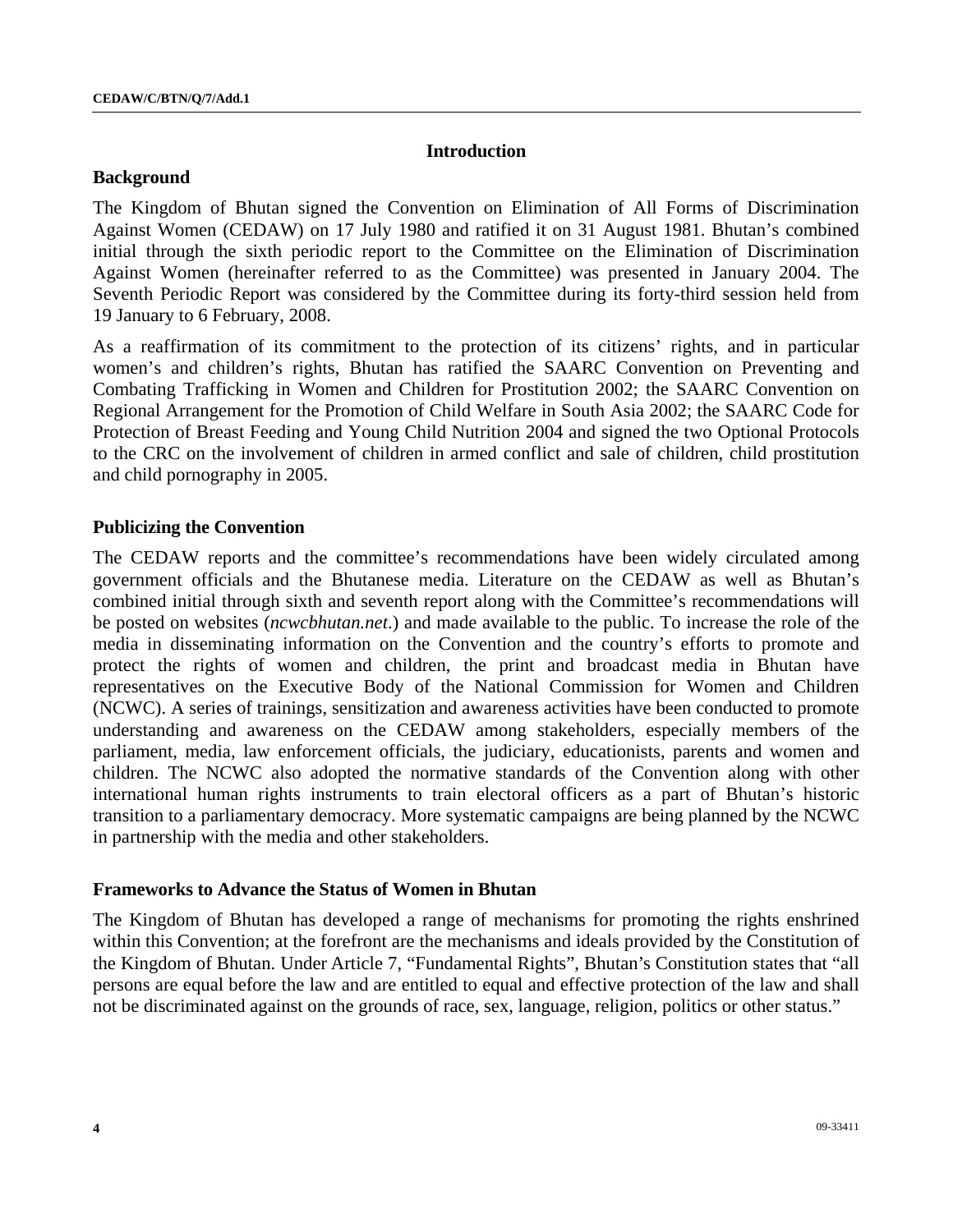### **Introduction**

#### **Background**

The Kingdom of Bhutan signed the Convention on Elimination of All Forms of Discrimination Against Women (CEDAW) on 17 July 1980 and ratified it on 31 August 1981. Bhutan's combined initial through the sixth periodic report to the Committee on the Elimination of Discrimination Against Women (hereinafter referred to as the Committee) was presented in January 2004. The Seventh Periodic Report was considered by the Committee during its forty-third session held from 19 January to 6 February, 2008.

As a reaffirmation of its commitment to the protection of its citizens' rights, and in particular women's and children's rights, Bhutan has ratified the SAARC Convention on Preventing and Combating Trafficking in Women and Children for Prostitution 2002; the SAARC Convention on Regional Arrangement for the Promotion of Child Welfare in South Asia 2002; the SAARC Code for Protection of Breast Feeding and Young Child Nutrition 2004 and signed the two Optional Protocols to the CRC on the involvement of children in armed conflict and sale of children, child prostitution and child pornography in 2005.

## **Publicizing the Convention**

The CEDAW reports and the committee's recommendations have been widely circulated among government officials and the Bhutanese media. Literature on the CEDAW as well as Bhutan's combined initial through sixth and seventh report along with the Committee's recommendations will be posted on websites (*ncwcbhutan.net*.) and made available to the public. To increase the role of the media in disseminating information on the Convention and the country's efforts to promote and protect the rights of women and children, the print and broadcast media in Bhutan have representatives on the Executive Body of the National Commission for Women and Children (NCWC). A series of trainings, sensitization and awareness activities have been conducted to promote understanding and awareness on the CEDAW among stakeholders, especially members of the parliament, media, law enforcement officials, the judiciary, educationists, parents and women and children. The NCWC also adopted the normative standards of the Convention along with other international human rights instruments to train electoral officers as a part of Bhutan's historic transition to a parliamentary democracy. More systematic campaigns are being planned by the NCWC in partnership with the media and other stakeholders.

#### **Frameworks to Advance the Status of Women in Bhutan**

The Kingdom of Bhutan has developed a range of mechanisms for promoting the rights enshrined within this Convention; at the forefront are the mechanisms and ideals provided by the Constitution of the Kingdom of Bhutan. Under Article 7, "Fundamental Rights", Bhutan's Constitution states that "all persons are equal before the law and are entitled to equal and effective protection of the law and shall not be discriminated against on the grounds of race, sex, language, religion, politics or other status."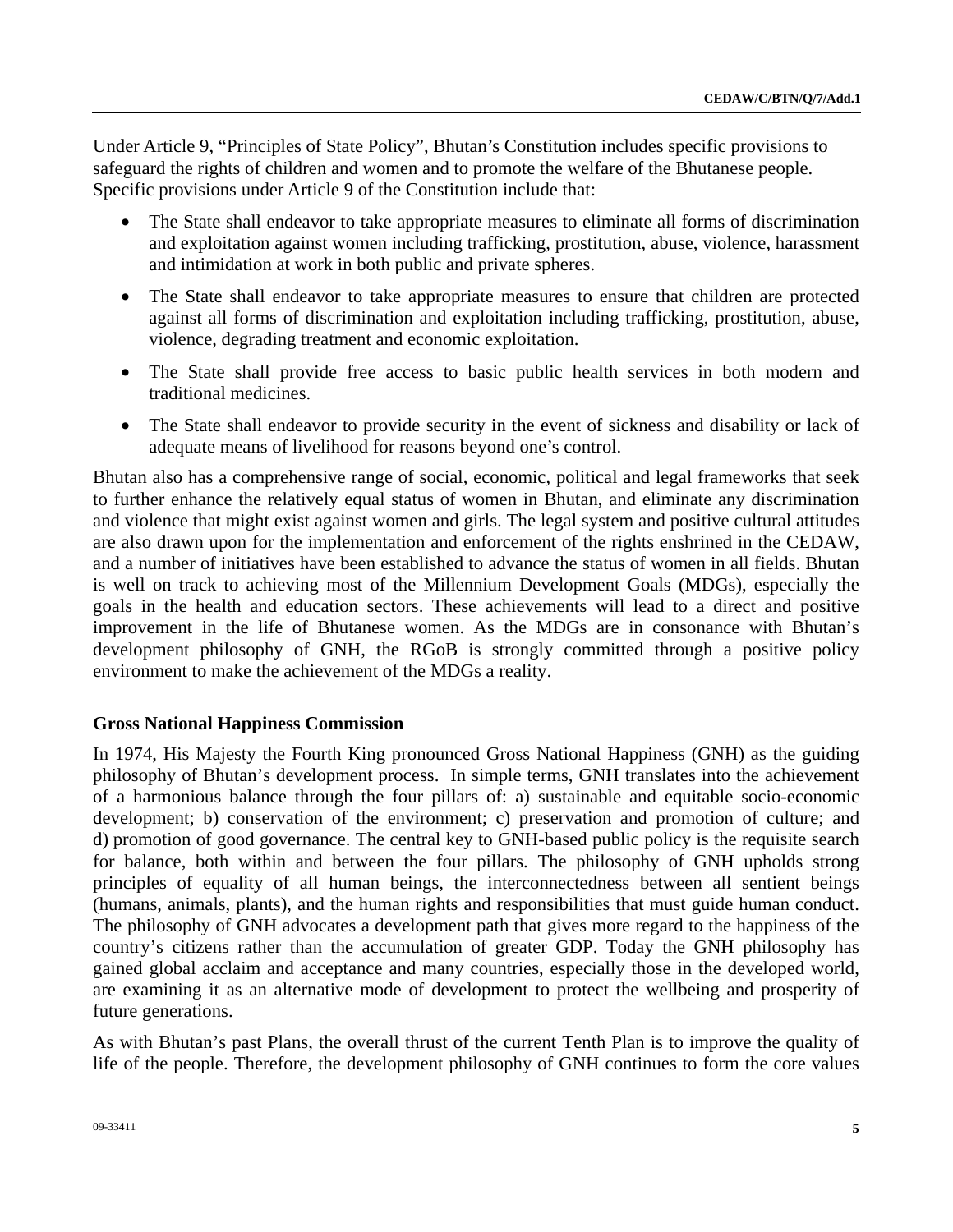Under Article 9, "Principles of State Policy", Bhutan's Constitution includes specific provisions to safeguard the rights of children and women and to promote the welfare of the Bhutanese people. Specific provisions under Article 9 of the Constitution include that:

- The State shall endeavor to take appropriate measures to eliminate all forms of discrimination and exploitation against women including trafficking, prostitution, abuse, violence, harassment and intimidation at work in both public and private spheres.
- The State shall endeavor to take appropriate measures to ensure that children are protected against all forms of discrimination and exploitation including trafficking, prostitution, abuse, violence, degrading treatment and economic exploitation.
- The State shall provide free access to basic public health services in both modern and traditional medicines.
- The State shall endeavor to provide security in the event of sickness and disability or lack of adequate means of livelihood for reasons beyond one's control.

Bhutan also has a comprehensive range of social, economic, political and legal frameworks that seek to further enhance the relatively equal status of women in Bhutan, and eliminate any discrimination and violence that might exist against women and girls. The legal system and positive cultural attitudes are also drawn upon for the implementation and enforcement of the rights enshrined in the CEDAW, and a number of initiatives have been established to advance the status of women in all fields. Bhutan is well on track to achieving most of the Millennium Development Goals (MDGs), especially the goals in the health and education sectors. These achievements will lead to a direct and positive improvement in the life of Bhutanese women. As the MDGs are in consonance with Bhutan's development philosophy of GNH, the RGoB is strongly committed through a positive policy environment to make the achievement of the MDGs a reality.

## **Gross National Happiness Commission**

In 1974, His Majesty the Fourth King pronounced Gross National Happiness (GNH) as the guiding philosophy of Bhutan's development process. In simple terms, GNH translates into the achievement of a harmonious balance through the four pillars of: a) sustainable and equitable socio-economic development; b) conservation of the environment; c) preservation and promotion of culture; and d) promotion of good governance. The central key to GNH-based public policy is the requisite search for balance, both within and between the four pillars. The philosophy of GNH upholds strong principles of equality of all human beings, the interconnectedness between all sentient beings (humans, animals, plants), and the human rights and responsibilities that must guide human conduct. The philosophy of GNH advocates a development path that gives more regard to the happiness of the country's citizens rather than the accumulation of greater GDP. Today the GNH philosophy has gained global acclaim and acceptance and many countries, especially those in the developed world, are examining it as an alternative mode of development to protect the wellbeing and prosperity of future generations.

As with Bhutan's past Plans, the overall thrust of the current Tenth Plan is to improve the quality of life of the people. Therefore, the development philosophy of GNH continues to form the core values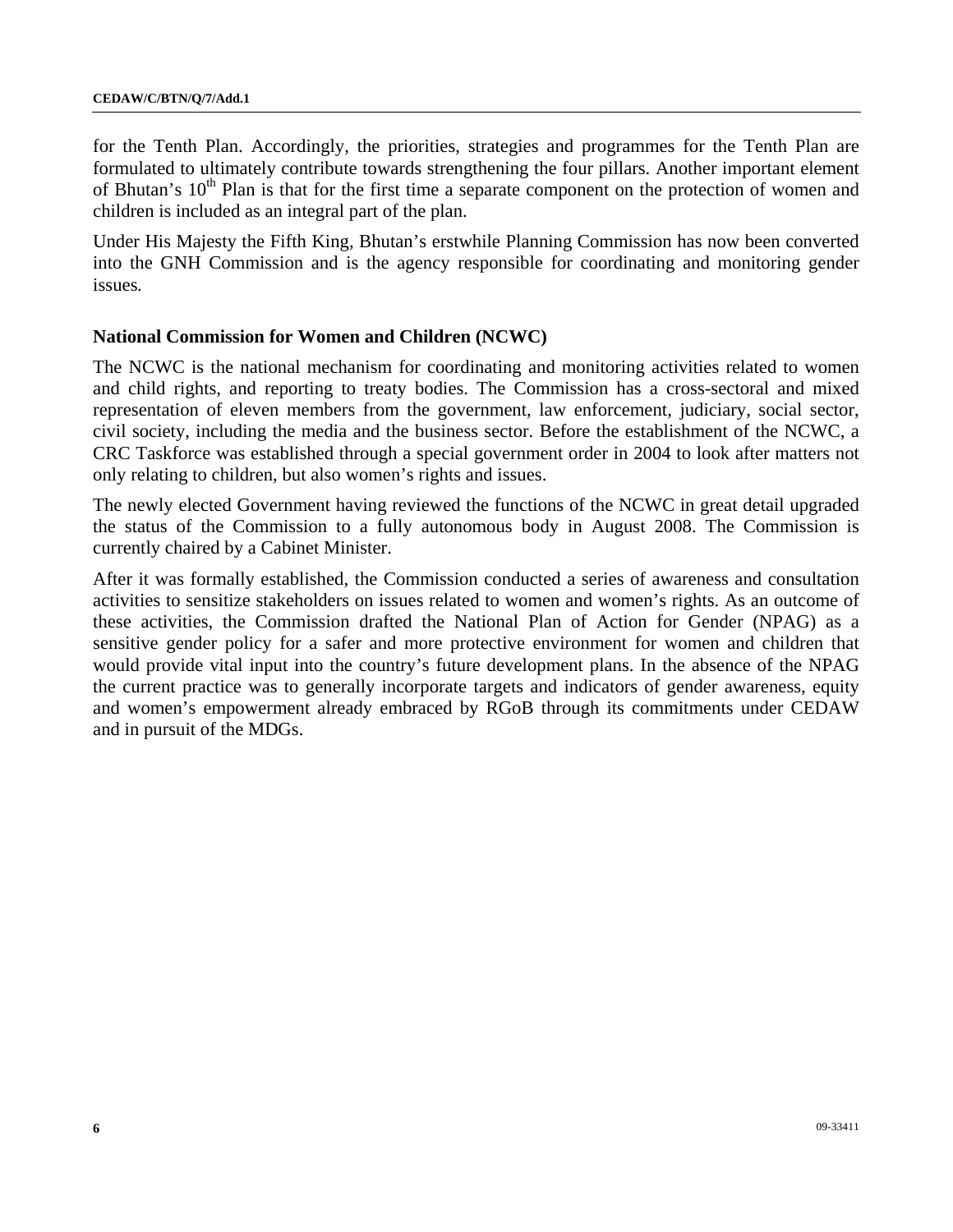for the Tenth Plan. Accordingly, the priorities, strategies and programmes for the Tenth Plan are formulated to ultimately contribute towards strengthening the four pillars. Another important element of Bhutan's 10<sup>th</sup> Plan is that for the first time a separate component on the protection of women and children is included as an integral part of the plan.

Under His Majesty the Fifth King, Bhutan's erstwhile Planning Commission has now been converted into the GNH Commission and is the agency responsible for coordinating and monitoring gender issues*.* 

## **National Commission for Women and Children (NCWC)**

The NCWC is the national mechanism for coordinating and monitoring activities related to women and child rights, and reporting to treaty bodies. The Commission has a cross-sectoral and mixed representation of eleven members from the government, law enforcement, judiciary, social sector, civil society, including the media and the business sector. Before the establishment of the NCWC, a CRC Taskforce was established through a special government order in 2004 to look after matters not only relating to children, but also women's rights and issues.

The newly elected Government having reviewed the functions of the NCWC in great detail upgraded the status of the Commission to a fully autonomous body in August 2008. The Commission is currently chaired by a Cabinet Minister.

After it was formally established, the Commission conducted a series of awareness and consultation activities to sensitize stakeholders on issues related to women and women's rights. As an outcome of these activities, the Commission drafted the National Plan of Action for Gender (NPAG) as a sensitive gender policy for a safer and more protective environment for women and children that would provide vital input into the country's future development plans. In the absence of the NPAG the current practice was to generally incorporate targets and indicators of gender awareness, equity and women's empowerment already embraced by RGoB through its commitments under CEDAW and in pursuit of the MDGs.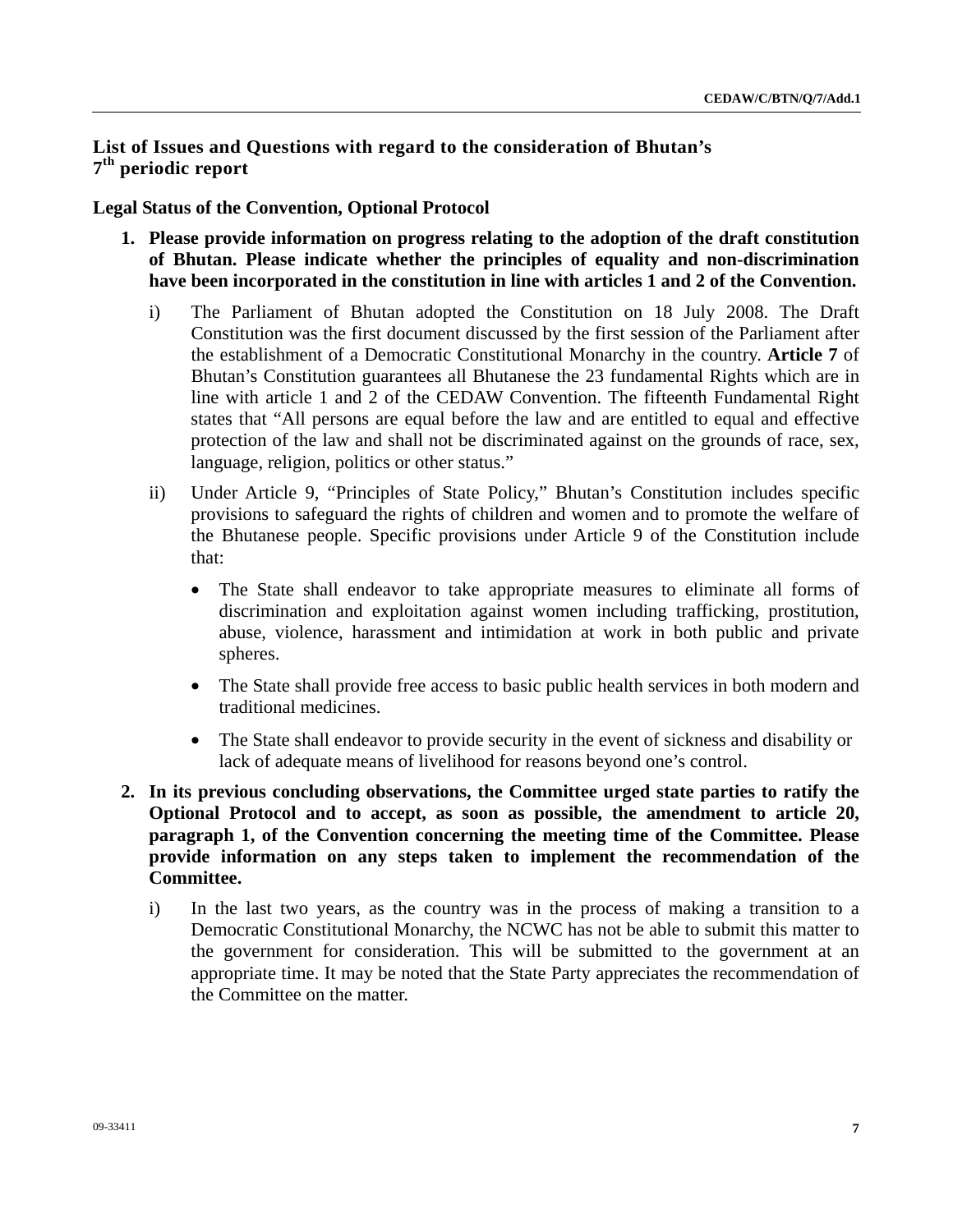## **List of Issues and Questions with regard to the consideration of Bhutan's 7th periodic report**

## **Legal Status of the Convention, Optional Protocol**

- **1. Please provide information on progress relating to the adoption of the draft constitution of Bhutan. Please indicate whether the principles of equality and non-discrimination have been incorporated in the constitution in line with articles 1 and 2 of the Convention.** 
	- i) The Parliament of Bhutan adopted the Constitution on 18 July 2008. The Draft Constitution was the first document discussed by the first session of the Parliament after the establishment of a Democratic Constitutional Monarchy in the country. **Article 7** of Bhutan's Constitution guarantees all Bhutanese the 23 fundamental Rights which are in line with article 1 and 2 of the CEDAW Convention. The fifteenth Fundamental Right states that "All persons are equal before the law and are entitled to equal and effective protection of the law and shall not be discriminated against on the grounds of race, sex, language, religion, politics or other status."
	- ii) Under Article 9, "Principles of State Policy," Bhutan's Constitution includes specific provisions to safeguard the rights of children and women and to promote the welfare of the Bhutanese people. Specific provisions under Article 9 of the Constitution include that:
		- The State shall endeavor to take appropriate measures to eliminate all forms of discrimination and exploitation against women including trafficking, prostitution, abuse, violence, harassment and intimidation at work in both public and private spheres.
		- The State shall provide free access to basic public health services in both modern and traditional medicines.
		- The State shall endeavor to provide security in the event of sickness and disability or lack of adequate means of livelihood for reasons beyond one's control.
- **2. In its previous concluding observations, the Committee urged state parties to ratify the Optional Protocol and to accept, as soon as possible, the amendment to article 20, paragraph 1, of the Convention concerning the meeting time of the Committee. Please provide information on any steps taken to implement the recommendation of the Committee.** 
	- i) In the last two years, as the country was in the process of making a transition to a Democratic Constitutional Monarchy, the NCWC has not be able to submit this matter to the government for consideration. This will be submitted to the government at an appropriate time. It may be noted that the State Party appreciates the recommendation of the Committee on the matter.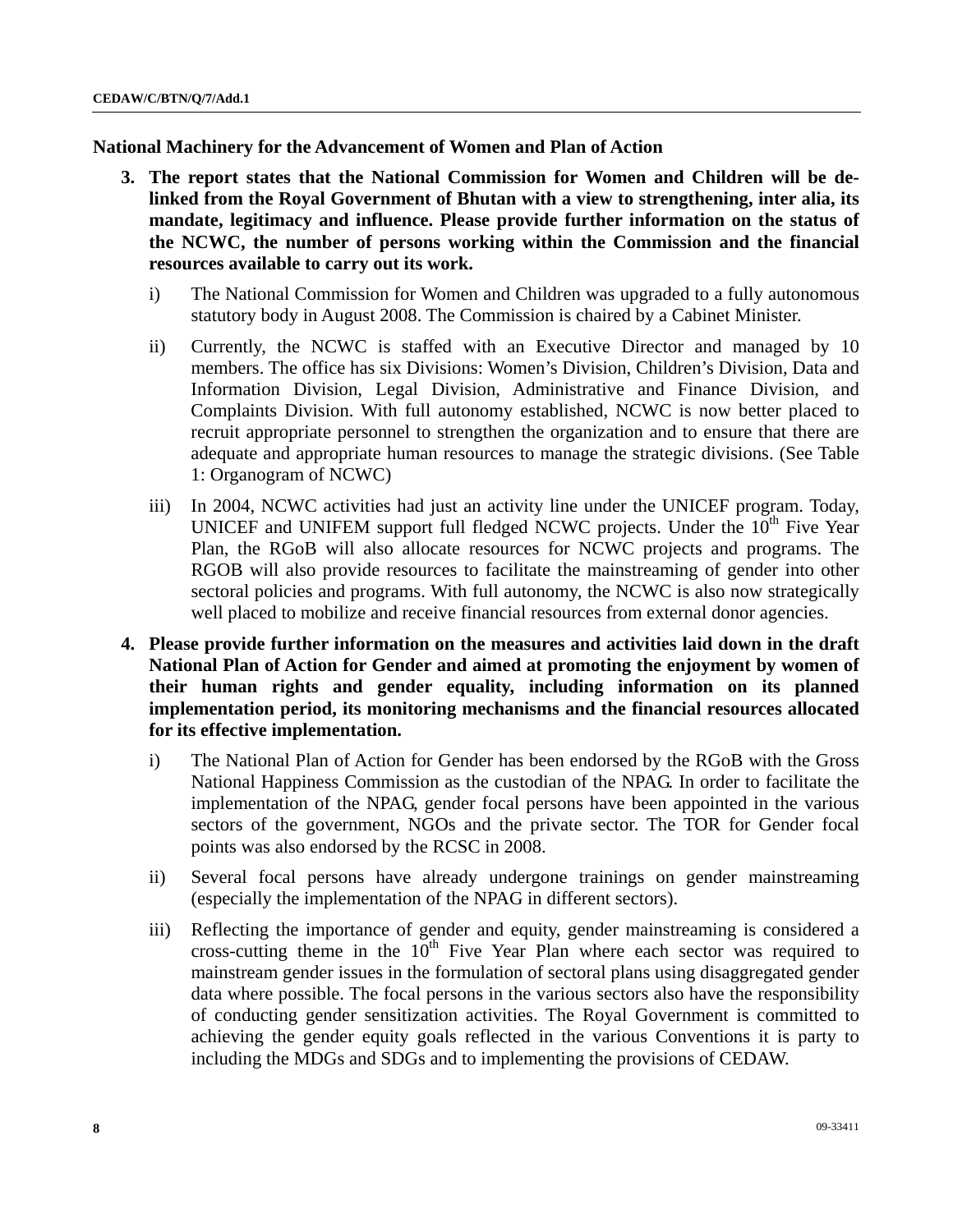**National Machinery for the Advancement of Women and Plan of Action** 

- **3. The report states that the National Commission for Women and Children will be delinked from the Royal Government of Bhutan with a view to strengthening, inter alia, its mandate, legitimacy and influence. Please provide further information on the status of the NCWC, the number of persons working within the Commission and the financial resources available to carry out its work.** 
	- i) The National Commission for Women and Children was upgraded to a fully autonomous statutory body in August 2008. The Commission is chaired by a Cabinet Minister.
	- ii) Currently, the NCWC is staffed with an Executive Director and managed by 10 members. The office has six Divisions: Women's Division, Children's Division, Data and Information Division, Legal Division, Administrative and Finance Division, and Complaints Division. With full autonomy established, NCWC is now better placed to recruit appropriate personnel to strengthen the organization and to ensure that there are adequate and appropriate human resources to manage the strategic divisions. (See Table 1: Organogram of NCWC)
	- iii) In 2004, NCWC activities had just an activity line under the UNICEF program. Today, UNICEF and UNIFEM support full fledged NCWC projects. Under the  $10<sup>th</sup>$  Five Year Plan, the RGoB will also allocate resources for NCWC projects and programs. The RGOB will also provide resources to facilitate the mainstreaming of gender into other sectoral policies and programs. With full autonomy, the NCWC is also now strategically well placed to mobilize and receive financial resources from external donor agencies.
- **4. Please provide further information on the measures and activities laid down in the draft National Plan of Action for Gender and aimed at promoting the enjoyment by women of their human rights and gender equality, including information on its planned implementation period, its monitoring mechanisms and the financial resources allocated for its effective implementation.** 
	- i) The National Plan of Action for Gender has been endorsed by the RGoB with the Gross National Happiness Commission as the custodian of the NPAG. In order to facilitate the implementation of the NPAG, gender focal persons have been appointed in the various sectors of the government, NGOs and the private sector. The TOR for Gender focal points was also endorsed by the RCSC in 2008.
	- ii) Several focal persons have already undergone trainings on gender mainstreaming (especially the implementation of the NPAG in different sectors).
	- iii) Reflecting the importance of gender and equity, gender mainstreaming is considered a cross-cutting theme in the  $10<sup>th</sup>$  Five Year Plan where each sector was required to mainstream gender issues in the formulation of sectoral plans using disaggregated gender data where possible. The focal persons in the various sectors also have the responsibility of conducting gender sensitization activities. The Royal Government is committed to achieving the gender equity goals reflected in the various Conventions it is party to including the MDGs and SDGs and to implementing the provisions of CEDAW.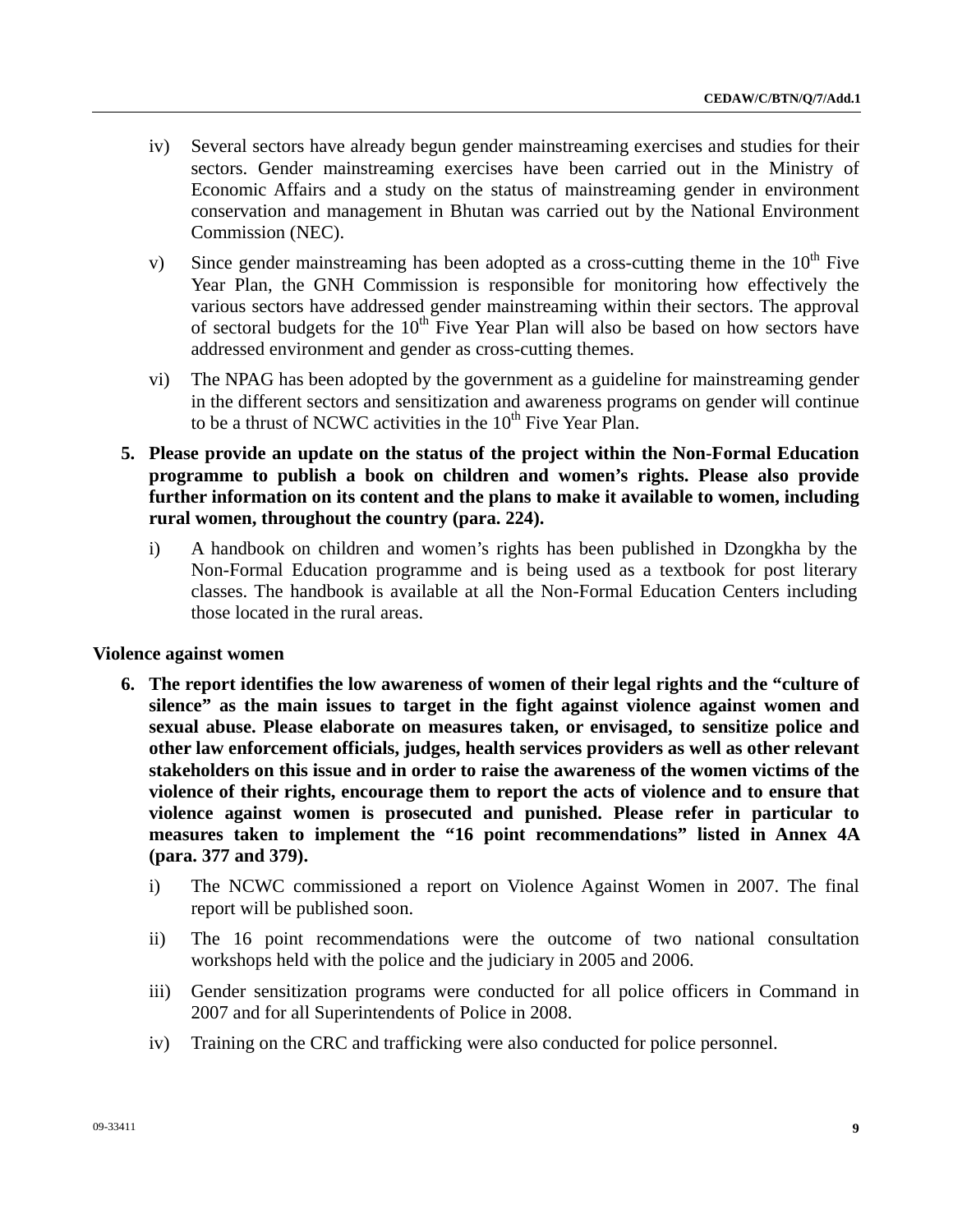- iv) Several sectors have already begun gender mainstreaming exercises and studies for their sectors. Gender mainstreaming exercises have been carried out in the Ministry of Economic Affairs and a study on the status of mainstreaming gender in environment conservation and management in Bhutan was carried out by the National Environment Commission (NEC).
- v) Since gender mainstreaming has been adopted as a cross-cutting theme in the  $10<sup>th</sup>$  Five Year Plan, the GNH Commission is responsible for monitoring how effectively the various sectors have addressed gender mainstreaming within their sectors. The approval of sectoral budgets for the  $10<sup>th</sup>$  Five Year Plan will also be based on how sectors have addressed environment and gender as cross-cutting themes.
- vi) The NPAG has been adopted by the government as a guideline for mainstreaming gender in the different sectors and sensitization and awareness programs on gender will continue to be a thrust of NCWC activities in the  $10<sup>th</sup>$  Five Year Plan.
- **5. Please provide an update on the status of the project within the Non-Formal Education programme to publish a book on children and women's rights. Please also provide further information on its content and the plans to make it available to women, including rural women, throughout the country (para. 224).** 
	- i) A handbook on children and women's rights has been published in Dzongkha by the Non-Formal Education programme and is being used as a textbook for post literary classes. The handbook is available at all the Non-Formal Education Centers including those located in the rural areas.

#### **Violence against women**

- **6. The report identifies the low awareness of women of their legal rights and the "culture of silence" as the main issues to target in the fight against violence against women and sexual abuse. Please elaborate on measures taken, or envisaged, to sensitize police and other law enforcement officials, judges, health services providers as well as other relevant stakeholders on this issue and in order to raise the awareness of the women victims of the violence of their rights, encourage them to report the acts of violence and to ensure that violence against women is prosecuted and punished. Please refer in particular to measures taken to implement the "16 point recommendations" listed in Annex 4A (para. 377 and 379).** 
	- i) The NCWC commissioned a report on Violence Against Women in 2007. The final report will be published soon.
	- ii) The 16 point recommendations were the outcome of two national consultation workshops held with the police and the judiciary in 2005 and 2006.
	- iii) Gender sensitization programs were conducted for all police officers in Command in 2007 and for all Superintendents of Police in 2008.
	- iv) Training on the CRC and trafficking were also conducted for police personnel.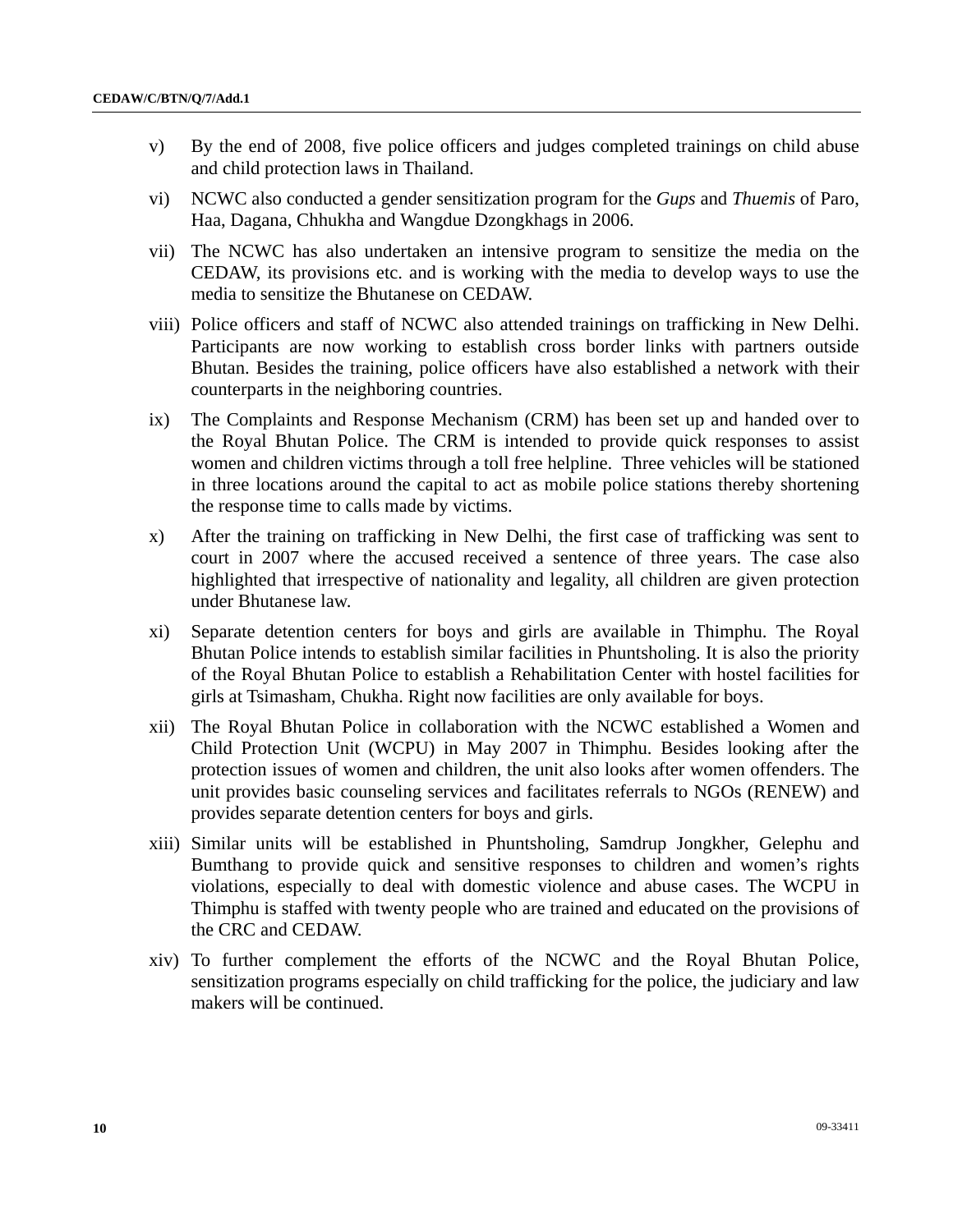- v) By the end of 2008, five police officers and judges completed trainings on child abuse and child protection laws in Thailand.
- vi) NCWC also conducted a gender sensitization program for the *Gups* and *Thuemis* of Paro, Haa, Dagana, Chhukha and Wangdue Dzongkhags in 2006.
- vii) The NCWC has also undertaken an intensive program to sensitize the media on the CEDAW, its provisions etc. and is working with the media to develop ways to use the media to sensitize the Bhutanese on CEDAW.
- viii) Police officers and staff of NCWC also attended trainings on trafficking in New Delhi. Participants are now working to establish cross border links with partners outside Bhutan. Besides the training, police officers have also established a network with their counterparts in the neighboring countries.
- ix) The Complaints and Response Mechanism (CRM) has been set up and handed over to the Royal Bhutan Police. The CRM is intended to provide quick responses to assist women and children victims through a toll free helpline. Three vehicles will be stationed in three locations around the capital to act as mobile police stations thereby shortening the response time to calls made by victims.
- x) After the training on trafficking in New Delhi, the first case of trafficking was sent to court in 2007 where the accused received a sentence of three years. The case also highlighted that irrespective of nationality and legality, all children are given protection under Bhutanese law.
- xi) Separate detention centers for boys and girls are available in Thimphu. The Royal Bhutan Police intends to establish similar facilities in Phuntsholing. It is also the priority of the Royal Bhutan Police to establish a Rehabilitation Center with hostel facilities for girls at Tsimasham, Chukha. Right now facilities are only available for boys.
- xii) The Royal Bhutan Police in collaboration with the NCWC established a Women and Child Protection Unit (WCPU) in May 2007 in Thimphu. Besides looking after the protection issues of women and children, the unit also looks after women offenders. The unit provides basic counseling services and facilitates referrals to NGOs (RENEW) and provides separate detention centers for boys and girls.
- xiii) Similar units will be established in Phuntsholing, Samdrup Jongkher, Gelephu and Bumthang to provide quick and sensitive responses to children and women's rights violations, especially to deal with domestic violence and abuse cases. The WCPU in Thimphu is staffed with twenty people who are trained and educated on the provisions of the CRC and CEDAW.
- xiv) To further complement the efforts of the NCWC and the Royal Bhutan Police, sensitization programs especially on child trafficking for the police, the judiciary and law makers will be continued.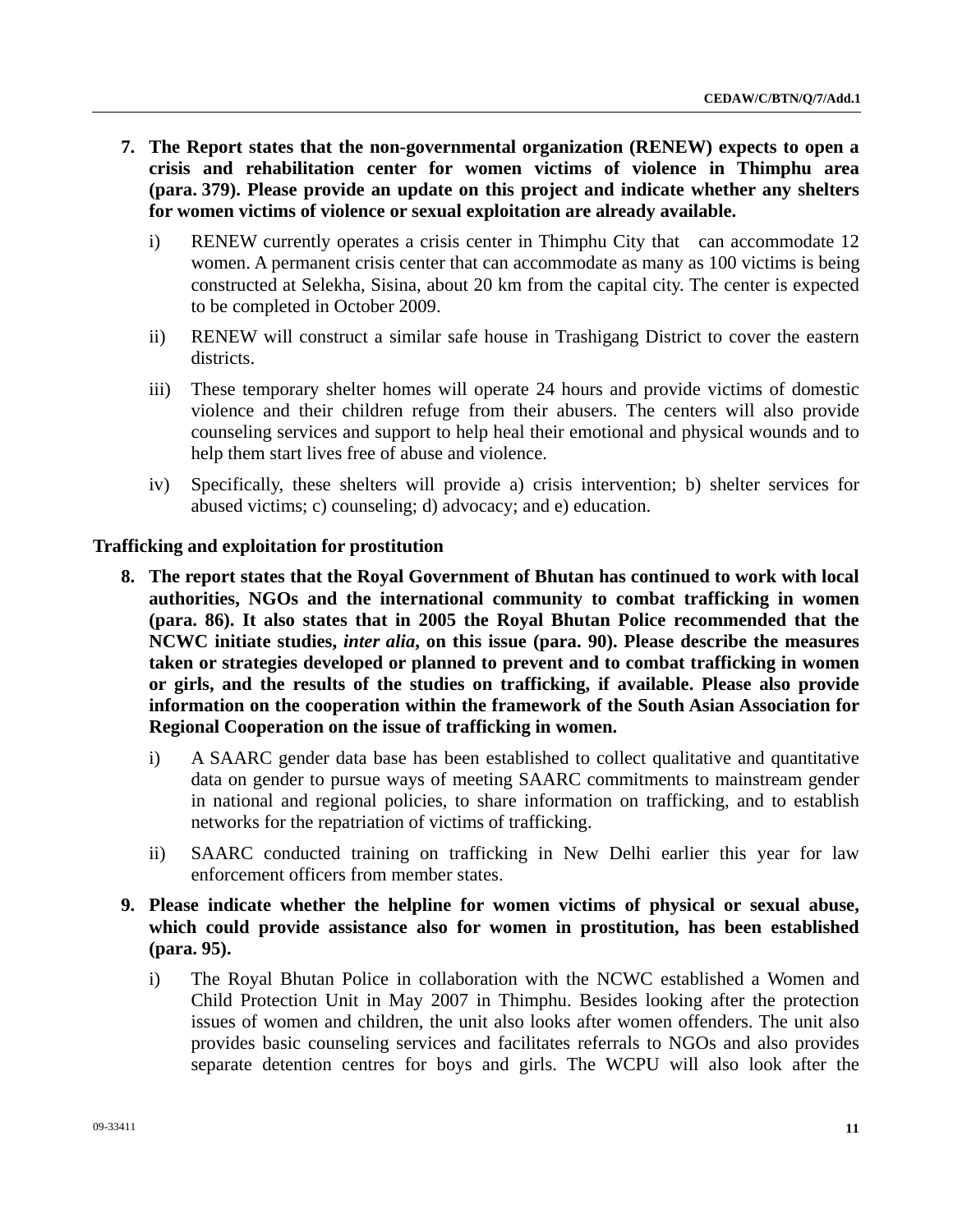- **7. The Report states that the non-governmental organization (RENEW) expects to open a crisis and rehabilitation center for women victims of violence in Thimphu area (para. 379). Please provide an update on this project and indicate whether any shelters for women victims of violence or sexual exploitation are already available.** 
	- i) RENEW currently operates a crisis center in Thimphu City that can accommodate 12 women. A permanent crisis center that can accommodate as many as 100 victims is being constructed at Selekha, Sisina, about 20 km from the capital city. The center is expected to be completed in October 2009.
	- ii) RENEW will construct a similar safe house in Trashigang District to cover the eastern districts.
	- iii) These temporary shelter homes will operate 24 hours and provide victims of domestic violence and their children refuge from their abusers. The centers will also provide counseling services and support to help heal their emotional and physical wounds and to help them start lives free of abuse and violence.
	- iv) Specifically, these shelters will provide a) crisis intervention; b) shelter services for abused victims; c) counseling; d) advocacy; and e) education.

## **Trafficking and exploitation for prostitution**

- **8. The report states that the Royal Government of Bhutan has continued to work with local authorities, NGOs and the international community to combat trafficking in women (para. 86). It also states that in 2005 the Royal Bhutan Police recommended that the NCWC initiate studies,** *inter alia***, on this issue (para. 90). Please describe the measures taken or strategies developed or planned to prevent and to combat trafficking in women or girls, and the results of the studies on trafficking, if available. Please also provide information on the cooperation within the framework of the South Asian Association for Regional Cooperation on the issue of trafficking in women.** 
	- i) A SAARC gender data base has been established to collect qualitative and quantitative data on gender to pursue ways of meeting SAARC commitments to mainstream gender in national and regional policies, to share information on trafficking, and to establish networks for the repatriation of victims of trafficking.
	- ii) SAARC conducted training on trafficking in New Delhi earlier this year for law enforcement officers from member states.
- **9. Please indicate whether the helpline for women victims of physical or sexual abuse, which could provide assistance also for women in prostitution, has been established (para. 95).** 
	- i) The Royal Bhutan Police in collaboration with the NCWC established a Women and Child Protection Unit in May 2007 in Thimphu. Besides looking after the protection issues of women and children, the unit also looks after women offenders. The unit also provides basic counseling services and facilitates referrals to NGOs and also provides separate detention centres for boys and girls. The WCPU will also look after the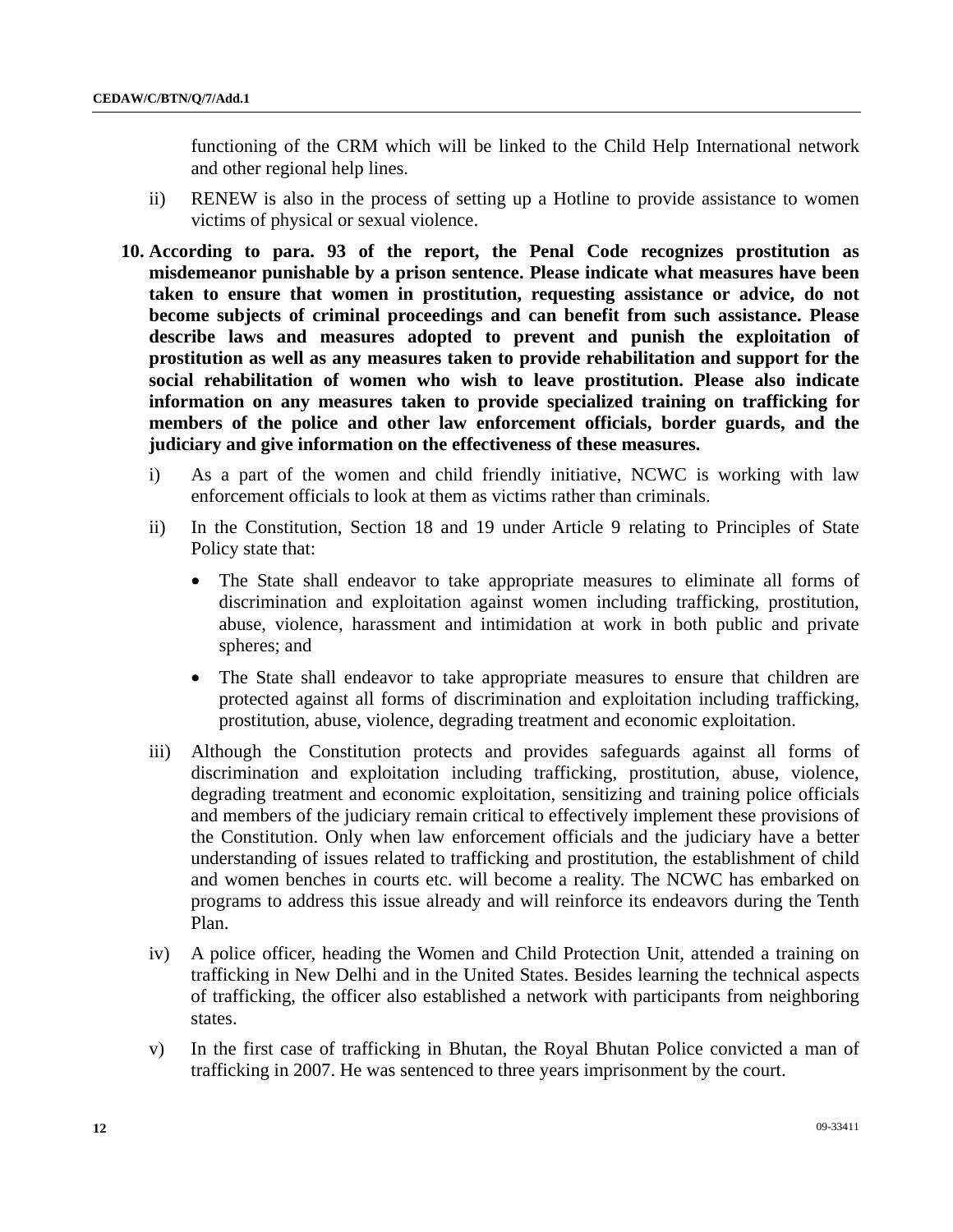functioning of the CRM which will be linked to the Child Help International network and other regional help lines.

- ii) RENEW is also in the process of setting up a Hotline to provide assistance to women victims of physical or sexual violence.
- **10. According to para. 93 of the report, the Penal Code recognizes prostitution as misdemeanor punishable by a prison sentence. Please indicate what measures have been taken to ensure that women in prostitution, requesting assistance or advice, do not become subjects of criminal proceedings and can benefit from such assistance. Please describe laws and measures adopted to prevent and punish the exploitation of prostitution as well as any measures taken to provide rehabilitation and support for the social rehabilitation of women who wish to leave prostitution. Please also indicate information on any measures taken to provide specialized training on trafficking for members of the police and other law enforcement officials, border guards, and the judiciary and give information on the effectiveness of these measures.** 
	- i) As a part of the women and child friendly initiative, NCWC is working with law enforcement officials to look at them as victims rather than criminals.
	- ii) In the Constitution, Section 18 and 19 under Article 9 relating to Principles of State Policy state that:
		- The State shall endeavor to take appropriate measures to eliminate all forms of discrimination and exploitation against women including trafficking, prostitution, abuse, violence, harassment and intimidation at work in both public and private spheres; and
		- The State shall endeavor to take appropriate measures to ensure that children are protected against all forms of discrimination and exploitation including trafficking, prostitution, abuse, violence, degrading treatment and economic exploitation.
	- iii) Although the Constitution protects and provides safeguards against all forms of discrimination and exploitation including trafficking, prostitution, abuse, violence, degrading treatment and economic exploitation, sensitizing and training police officials and members of the judiciary remain critical to effectively implement these provisions of the Constitution. Only when law enforcement officials and the judiciary have a better understanding of issues related to trafficking and prostitution, the establishment of child and women benches in courts etc. will become a reality. The NCWC has embarked on programs to address this issue already and will reinforce its endeavors during the Tenth Plan.
	- iv) A police officer, heading the Women and Child Protection Unit, attended a training on trafficking in New Delhi and in the United States. Besides learning the technical aspects of trafficking, the officer also established a network with participants from neighboring states.
	- v) In the first case of trafficking in Bhutan, the Royal Bhutan Police convicted a man of trafficking in 2007. He was sentenced to three years imprisonment by the court.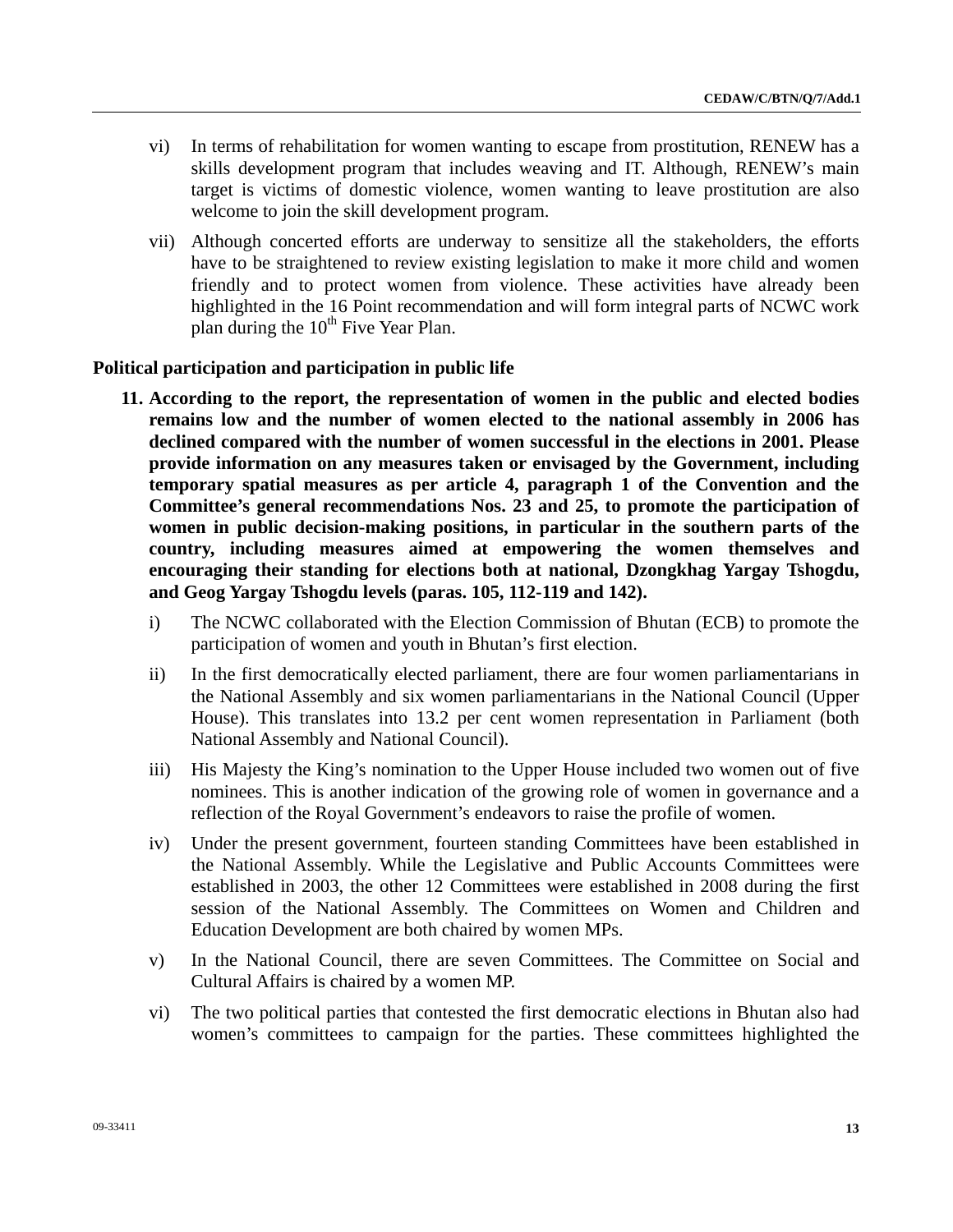- vi) In terms of rehabilitation for women wanting to escape from prostitution, RENEW has a skills development program that includes weaving and IT. Although, RENEW's main target is victims of domestic violence, women wanting to leave prostitution are also welcome to join the skill development program.
- vii) Although concerted efforts are underway to sensitize all the stakeholders, the efforts have to be straightened to review existing legislation to make it more child and women friendly and to protect women from violence. These activities have already been highlighted in the 16 Point recommendation and will form integral parts of NCWC work plan during the  $10<sup>th</sup>$  Five Year Plan.

## **Political participation and participation in public life**

- **11. According to the report, the representation of women in the public and elected bodies remains low and the number of women elected to the national assembly in 2006 has declined compared with the number of women successful in the elections in 2001. Please provide information on any measures taken or envisaged by the Government, including temporary spatial measures as per article 4, paragraph 1 of the Convention and the Committee's general recommendations Nos. 23 and 25, to promote the participation of women in public decision-making positions, in particular in the southern parts of the country, including measures aimed at empowering the women themselves and encouraging their standing for elections both at national, Dzongkhag Yargay Tshogdu, and Geog Yargay Tshogdu levels (paras. 105, 112-119 and 142).** 
	- i) The NCWC collaborated with the Election Commission of Bhutan (ECB) to promote the participation of women and youth in Bhutan's first election.
	- ii) In the first democratically elected parliament, there are four women parliamentarians in the National Assembly and six women parliamentarians in the National Council (Upper House). This translates into 13.2 per cent women representation in Parliament (both National Assembly and National Council).
	- iii) His Majesty the King's nomination to the Upper House included two women out of five nominees. This is another indication of the growing role of women in governance and a reflection of the Royal Government's endeavors to raise the profile of women.
	- iv) Under the present government, fourteen standing Committees have been established in the National Assembly. While the Legislative and Public Accounts Committees were established in 2003, the other 12 Committees were established in 2008 during the first session of the National Assembly. The Committees on Women and Children and Education Development are both chaired by women MPs.
	- v) In the National Council, there are seven Committees. The Committee on Social and Cultural Affairs is chaired by a women MP.
	- vi) The two political parties that contested the first democratic elections in Bhutan also had women's committees to campaign for the parties. These committees highlighted the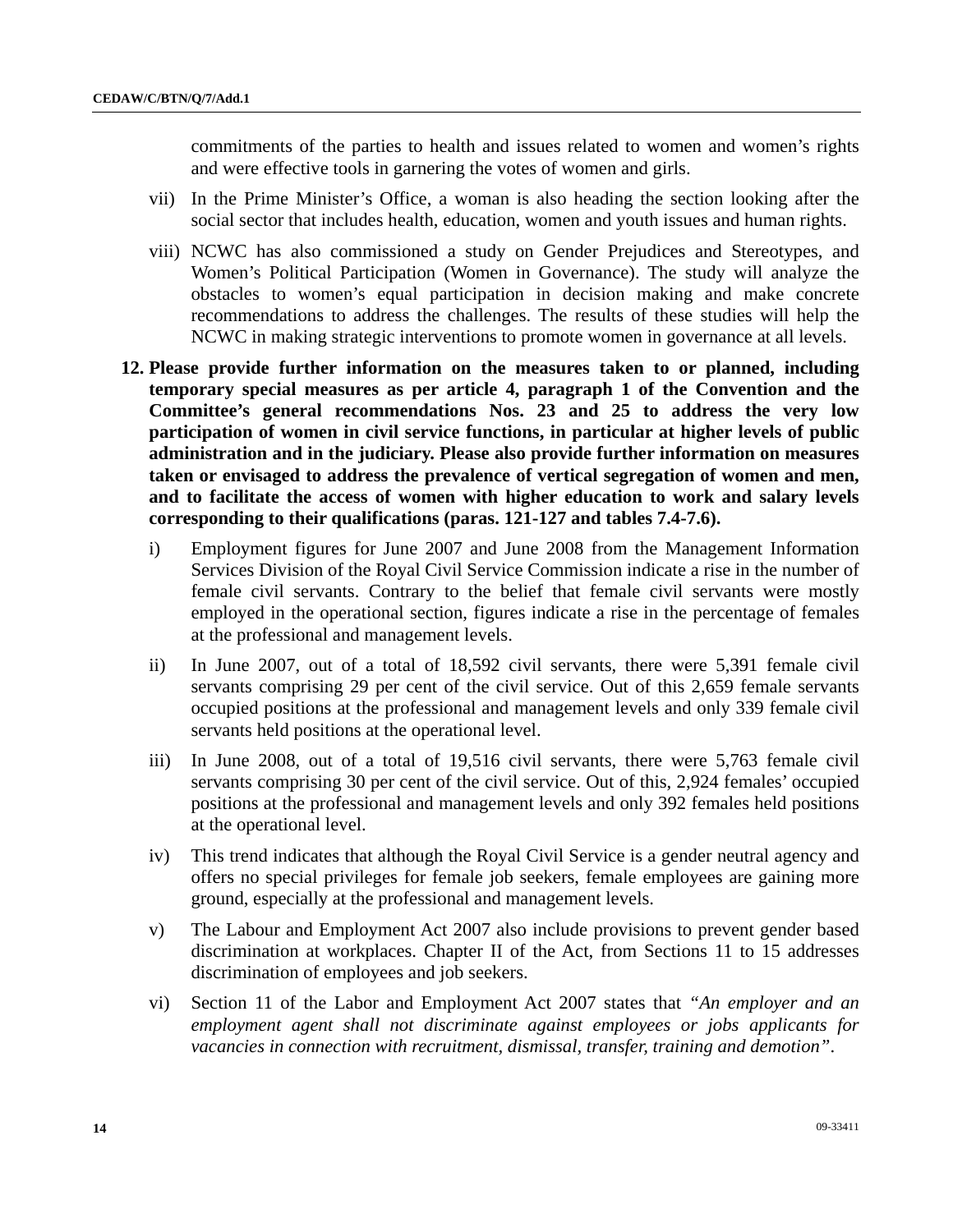commitments of the parties to health and issues related to women and women's rights and were effective tools in garnering the votes of women and girls.

- vii) In the Prime Minister's Office, a woman is also heading the section looking after the social sector that includes health, education, women and youth issues and human rights.
- viii) NCWC has also commissioned a study on Gender Prejudices and Stereotypes, and Women's Political Participation (Women in Governance). The study will analyze the obstacles to women's equal participation in decision making and make concrete recommendations to address the challenges. The results of these studies will help the NCWC in making strategic interventions to promote women in governance at all levels.
- **12. Please provide further information on the measures taken to or planned, including temporary special measures as per article 4, paragraph 1 of the Convention and the Committee's general recommendations Nos. 23 and 25 to address the very low participation of women in civil service functions, in particular at higher levels of public administration and in the judiciary. Please also provide further information on measures taken or envisaged to address the prevalence of vertical segregation of women and men, and to facilitate the access of women with higher education to work and salary levels corresponding to their qualifications (paras. 121-127 and tables 7.4-7.6).** 
	- i) Employment figures for June 2007 and June 2008 from the Management Information Services Division of the Royal Civil Service Commission indicate a rise in the number of female civil servants. Contrary to the belief that female civil servants were mostly employed in the operational section, figures indicate a rise in the percentage of females at the professional and management levels.
	- ii) In June 2007, out of a total of 18,592 civil servants, there were 5,391 female civil servants comprising 29 per cent of the civil service. Out of this 2,659 female servants occupied positions at the professional and management levels and only 339 female civil servants held positions at the operational level.
	- iii) In June 2008, out of a total of 19,516 civil servants, there were 5,763 female civil servants comprising 30 per cent of the civil service. Out of this, 2,924 females' occupied positions at the professional and management levels and only 392 females held positions at the operational level.
	- iv) This trend indicates that although the Royal Civil Service is a gender neutral agency and offers no special privileges for female job seekers, female employees are gaining more ground, especially at the professional and management levels.
	- v) The Labour and Employment Act 2007 also include provisions to prevent gender based discrimination at workplaces. Chapter II of the Act, from Sections 11 to 15 addresses discrimination of employees and job seekers.
	- vi) Section 11 of the Labor and Employment Act 2007 states that *"An employer and an employment agent shall not discriminate against employees or jobs applicants for vacancies in connection with recruitment, dismissal, transfer, training and demotion"*.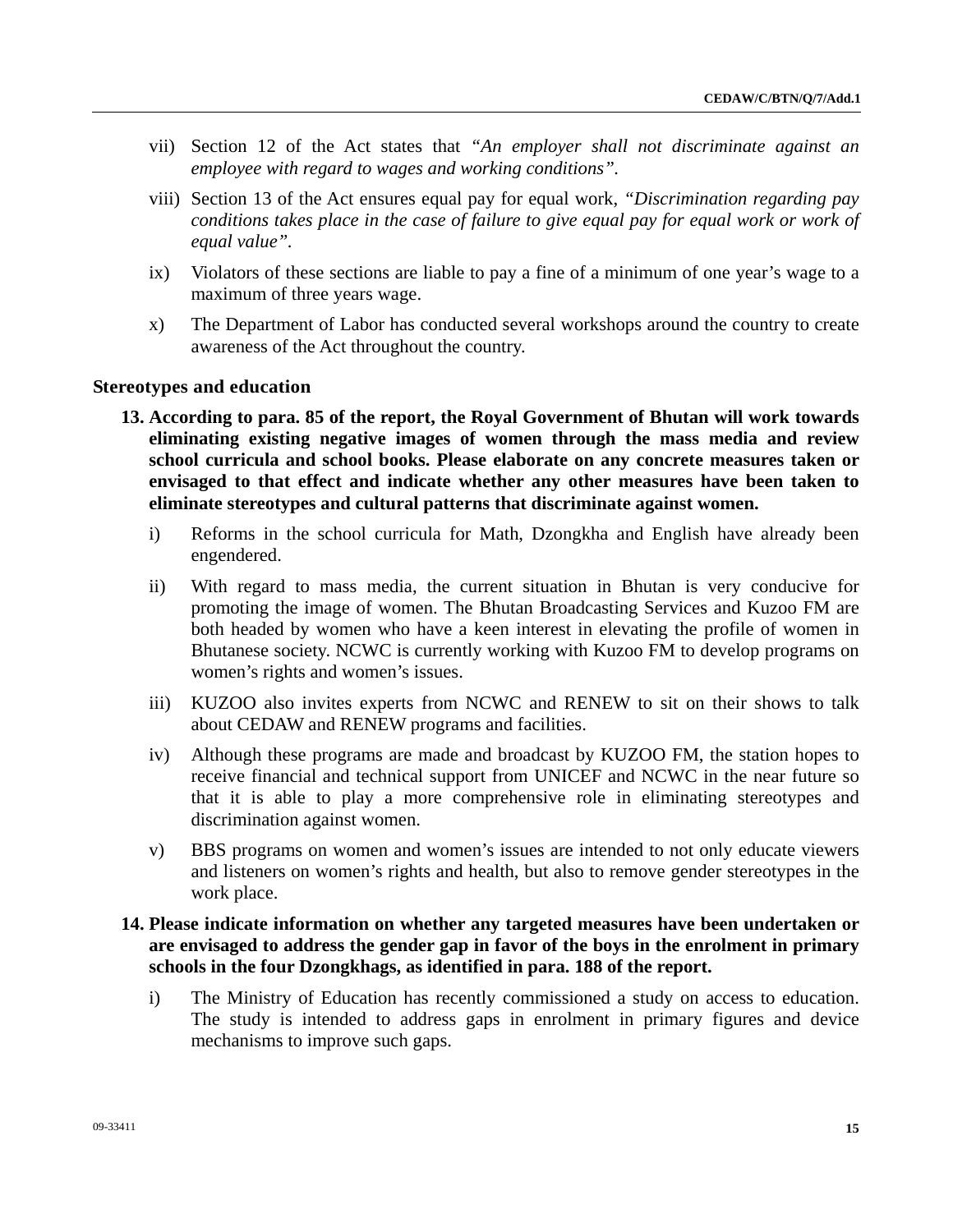- vii) Section 12 of the Act states that *"An employer shall not discriminate against an employee with regard to wages and working conditions".*
- viii) Section 13 of the Act ensures equal pay for equal work, *"Discrimination regarding pay conditions takes place in the case of failure to give equal pay for equal work or work of equal value".*
- ix) Violators of these sections are liable to pay a fine of a minimum of one year's wage to a maximum of three years wage.
- x) The Department of Labor has conducted several workshops around the country to create awareness of the Act throughout the country.

#### **Stereotypes and education**

- **13. According to para. 85 of the report, the Royal Government of Bhutan will work towards eliminating existing negative images of women through the mass media and review school curricula and school books. Please elaborate on any concrete measures taken or envisaged to that effect and indicate whether any other measures have been taken to eliminate stereotypes and cultural patterns that discriminate against women.** 
	- i) Reforms in the school curricula for Math, Dzongkha and English have already been engendered.
	- ii) With regard to mass media, the current situation in Bhutan is very conducive for promoting the image of women. The Bhutan Broadcasting Services and Kuzoo FM are both headed by women who have a keen interest in elevating the profile of women in Bhutanese society. NCWC is currently working with Kuzoo FM to develop programs on women's rights and women's issues.
	- iii) KUZOO also invites experts from NCWC and RENEW to sit on their shows to talk about CEDAW and RENEW programs and facilities.
	- iv) Although these programs are made and broadcast by KUZOO FM, the station hopes to receive financial and technical support from UNICEF and NCWC in the near future so that it is able to play a more comprehensive role in eliminating stereotypes and discrimination against women.
	- v) BBS programs on women and women's issues are intended to not only educate viewers and listeners on women's rights and health, but also to remove gender stereotypes in the work place.

## **14. Please indicate information on whether any targeted measures have been undertaken or are envisaged to address the gender gap in favor of the boys in the enrolment in primary schools in the four Dzongkhags, as identified in para. 188 of the report.**

i) The Ministry of Education has recently commissioned a study on access to education. The study is intended to address gaps in enrolment in primary figures and device mechanisms to improve such gaps.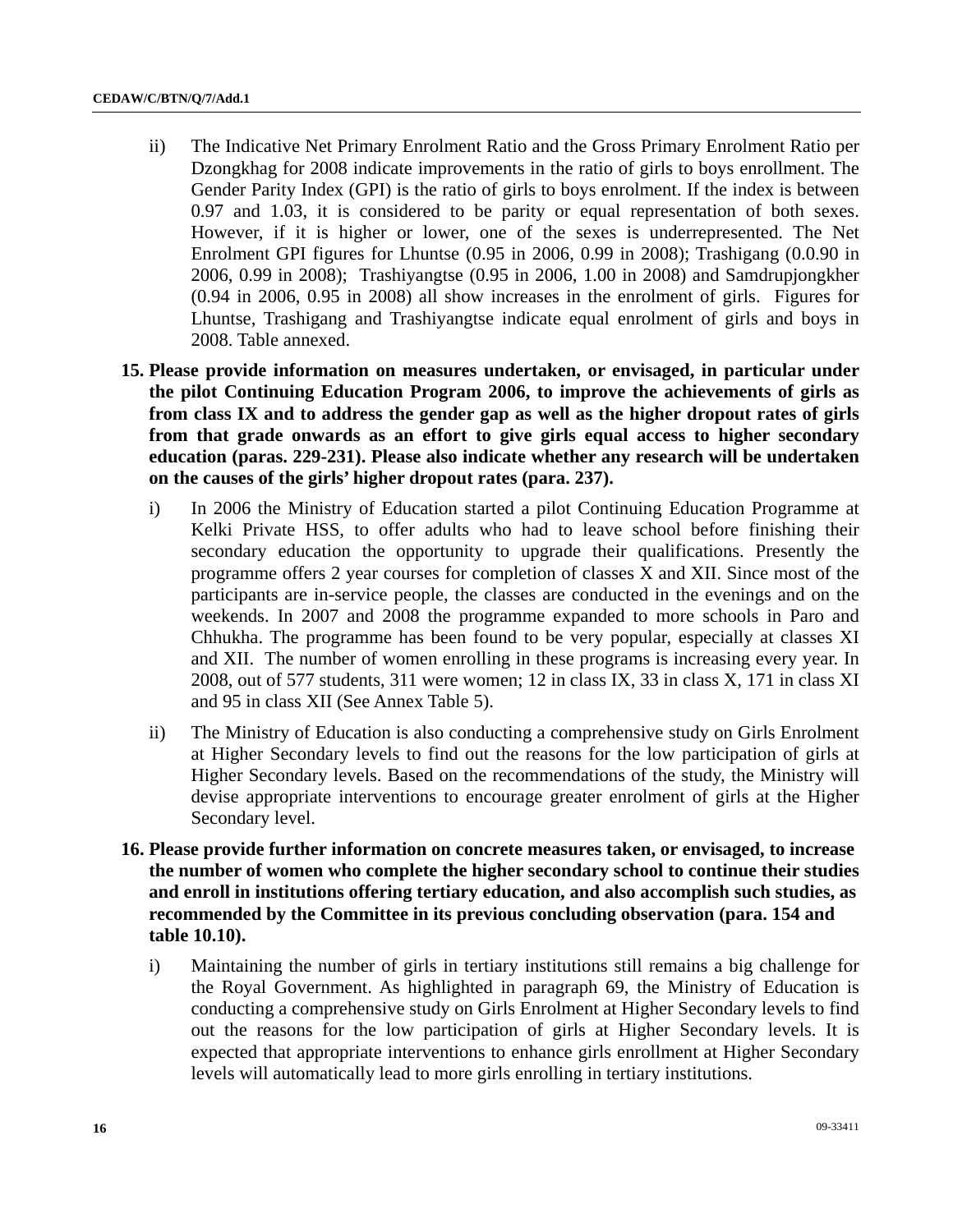- ii) The Indicative Net Primary Enrolment Ratio and the Gross Primary Enrolment Ratio per Dzongkhag for 2008 indicate improvements in the ratio of girls to boys enrollment. The Gender Parity Index (GPI) is the ratio of girls to boys enrolment. If the index is between 0.97 and 1.03, it is considered to be parity or equal representation of both sexes. However, if it is higher or lower, one of the sexes is underrepresented. The Net Enrolment GPI figures for Lhuntse (0.95 in 2006, 0.99 in 2008); Trashigang (0.0.90 in 2006, 0.99 in 2008); Trashiyangtse (0.95 in 2006, 1.00 in 2008) and Samdrupjongkher (0.94 in 2006, 0.95 in 2008) all show increases in the enrolment of girls. Figures for Lhuntse, Trashigang and Trashiyangtse indicate equal enrolment of girls and boys in 2008. Table annexed.
- **15. Please provide information on measures undertaken, or envisaged, in particular under the pilot Continuing Education Program 2006, to improve the achievements of girls as from class IX and to address the gender gap as well as the higher dropout rates of girls from that grade onwards as an effort to give girls equal access to higher secondary education (paras. 229-231). Please also indicate whether any research will be undertaken on the causes of the girls' higher dropout rates (para. 237).** 
	- i) In 2006 the Ministry of Education started a pilot Continuing Education Programme at Kelki Private HSS, to offer adults who had to leave school before finishing their secondary education the opportunity to upgrade their qualifications. Presently the programme offers 2 year courses for completion of classes X and XII. Since most of the participants are in-service people, the classes are conducted in the evenings and on the weekends. In 2007 and 2008 the programme expanded to more schools in Paro and Chhukha. The programme has been found to be very popular, especially at classes XI and XII. The number of women enrolling in these programs is increasing every year. In 2008, out of 577 students, 311 were women; 12 in class IX, 33 in class X, 171 in class XI and 95 in class XII (See Annex Table 5).
	- ii) The Ministry of Education is also conducting a comprehensive study on Girls Enrolment at Higher Secondary levels to find out the reasons for the low participation of girls at Higher Secondary levels. Based on the recommendations of the study, the Ministry will devise appropriate interventions to encourage greater enrolment of girls at the Higher Secondary level.
- **16. Please provide further information on concrete measures taken, or envisaged, to increase the number of women who complete the higher secondary school to continue their studies and enroll in institutions offering tertiary education, and also accomplish such studies, as recommended by the Committee in its previous concluding observation (para. 154 and table 10.10).** 
	- i) Maintaining the number of girls in tertiary institutions still remains a big challenge for the Royal Government. As highlighted in paragraph 69, the Ministry of Education is conducting a comprehensive study on Girls Enrolment at Higher Secondary levels to find out the reasons for the low participation of girls at Higher Secondary levels. It is expected that appropriate interventions to enhance girls enrollment at Higher Secondary levels will automatically lead to more girls enrolling in tertiary institutions.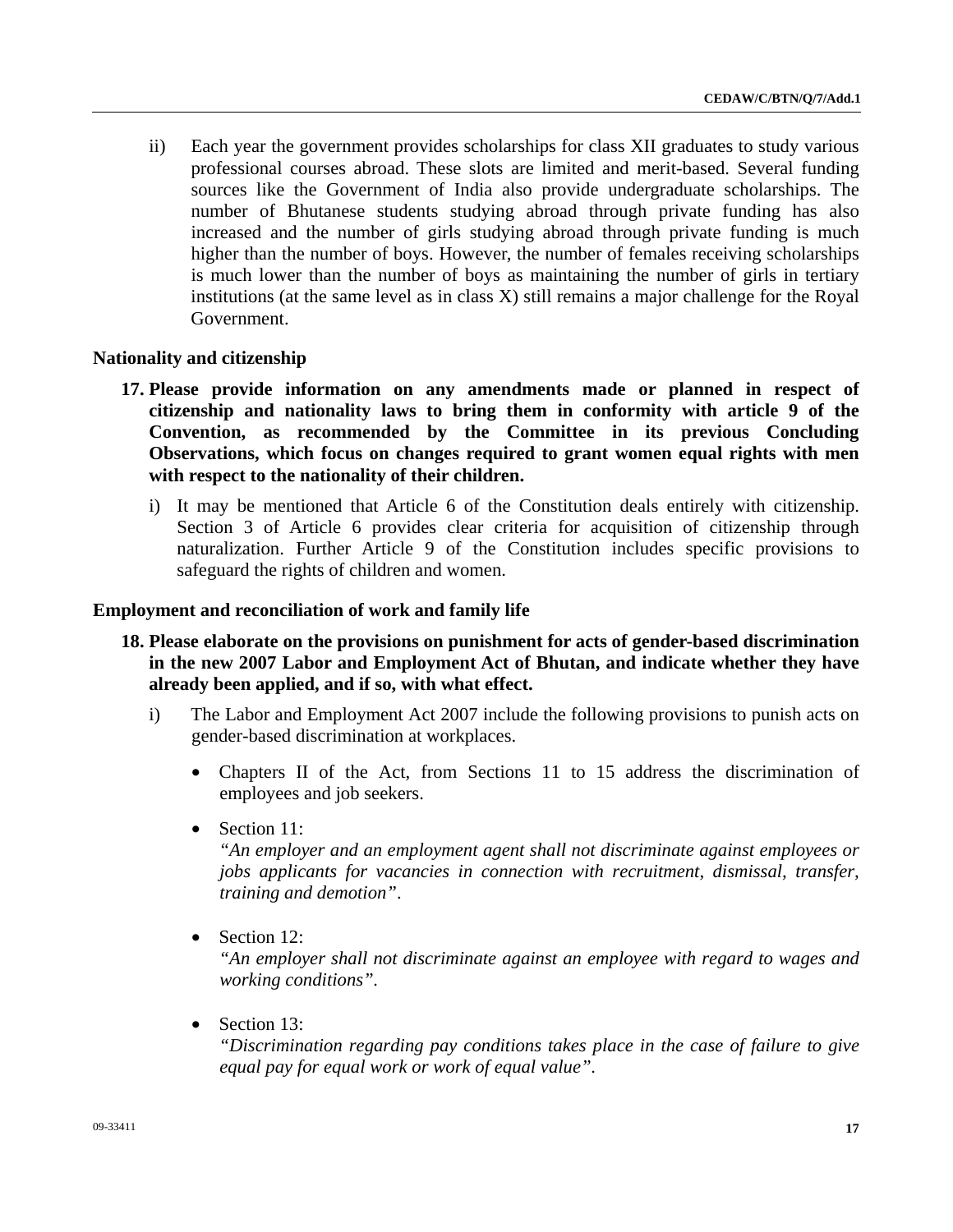ii) Each year the government provides scholarships for class XII graduates to study various professional courses abroad. These slots are limited and merit-based. Several funding sources like the Government of India also provide undergraduate scholarships. The number of Bhutanese students studying abroad through private funding has also increased and the number of girls studying abroad through private funding is much higher than the number of boys. However, the number of females receiving scholarships is much lower than the number of boys as maintaining the number of girls in tertiary institutions (at the same level as in class X) still remains a major challenge for the Royal Government.

#### **Nationality and citizenship**

- **17. Please provide information on any amendments made or planned in respect of citizenship and nationality laws to bring them in conformity with article 9 of the Convention, as recommended by the Committee in its previous Concluding Observations, which focus on changes required to grant women equal rights with men with respect to the nationality of their children.** 
	- i) It may be mentioned that Article 6 of the Constitution deals entirely with citizenship. Section 3 of Article 6 provides clear criteria for acquisition of citizenship through naturalization. Further Article 9 of the Constitution includes specific provisions to safeguard the rights of children and women.

#### **Employment and reconciliation of work and family life**

- **18. Please elaborate on the provisions on punishment for acts of gender-based discrimination in the new 2007 Labor and Employment Act of Bhutan, and indicate whether they have already been applied, and if so, with what effect.** 
	- i) The Labor and Employment Act 2007 include the following provisions to punish acts on gender-based discrimination at workplaces.
		- Chapters II of the Act, from Sections 11 to 15 address the discrimination of employees and job seekers.
		- Section 11:

 *"An employer and an employment agent shall not discriminate against employees or jobs applicants for vacancies in connection with recruitment, dismissal, transfer, training and demotion"*.

• Section 12:

 *"An employer shall not discriminate against an employee with regard to wages and working conditions".* 

• Section 13:

 *"Discrimination regarding pay conditions takes place in the case of failure to give equal pay for equal work or work of equal value".*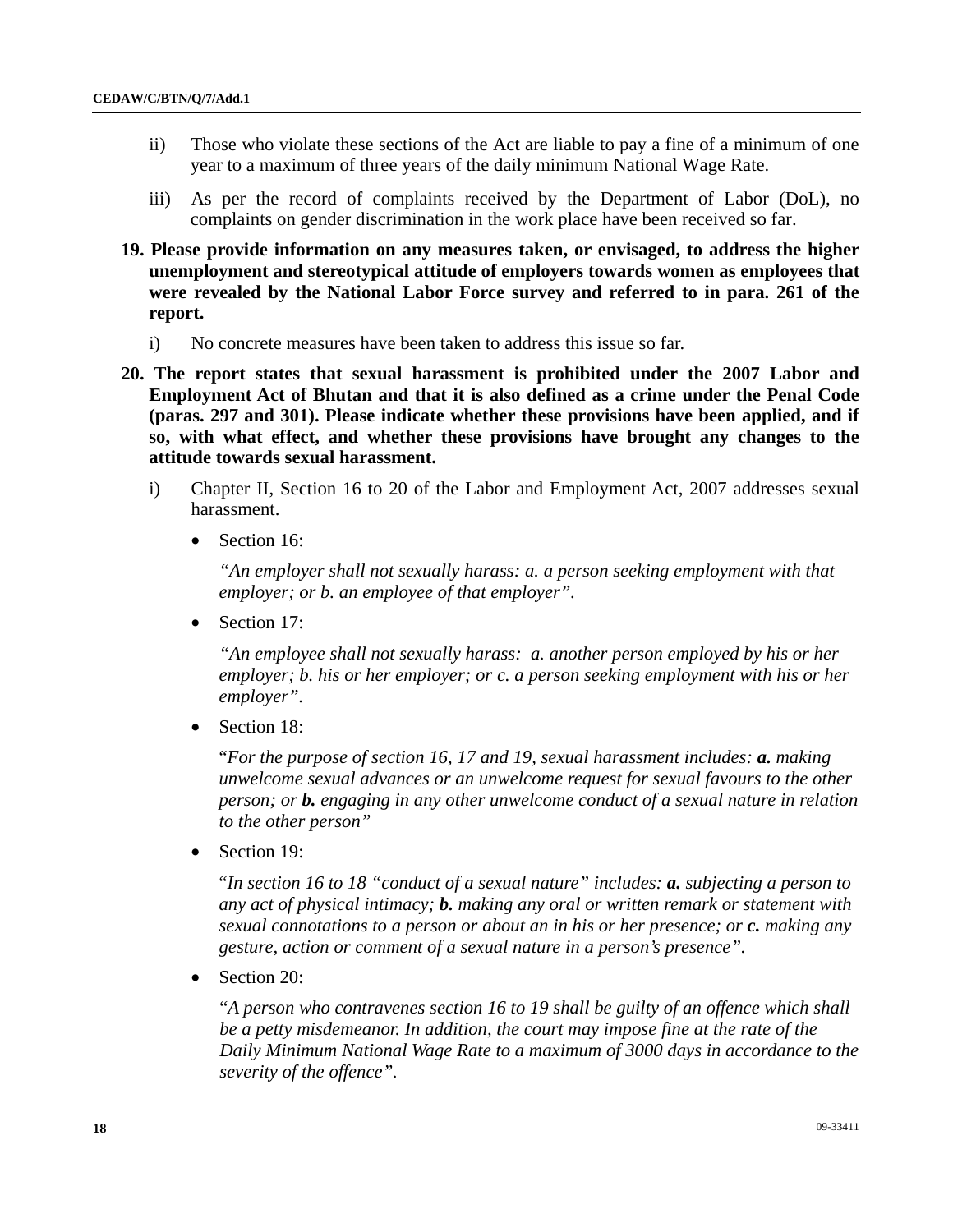- ii) Those who violate these sections of the Act are liable to pay a fine of a minimum of one year to a maximum of three years of the daily minimum National Wage Rate.
- iii) As per the record of complaints received by the Department of Labor (DoL), no complaints on gender discrimination in the work place have been received so far.
- **19. Please provide information on any measures taken, or envisaged, to address the higher unemployment and stereotypical attitude of employers towards women as employees that were revealed by the National Labor Force survey and referred to in para. 261 of the report.** 
	- i) No concrete measures have been taken to address this issue so far.
- **20. The report states that sexual harassment is prohibited under the 2007 Labor and Employment Act of Bhutan and that it is also defined as a crime under the Penal Code (paras. 297 and 301). Please indicate whether these provisions have been applied, and if so, with what effect, and whether these provisions have brought any changes to the attitude towards sexual harassment.** 
	- i) Chapter II, Section 16 to 20 of the Labor and Employment Act, 2007 addresses sexual harassment.
		- Section 16:

*"An employer shall not sexually harass: a. a person seeking employment with that employer; or b. an employee of that employer".*

• Section 17:

*"An employee shall not sexually harass: a. another person employed by his or her employer; b. his or her employer; or c. a person seeking employment with his or her employer".*

• Section 18:

"*For the purpose of section 16, 17 and 19, sexual harassment includes: a. making unwelcome sexual advances or an unwelcome request for sexual favours to the other person; or b. engaging in any other unwelcome conduct of a sexual nature in relation to the other person"* 

Section 19:

"*In section 16 to 18 "conduct of a sexual nature" includes: a. subjecting a person to any act of physical intimacy; b. making any oral or written remark or statement with sexual connotations to a person or about an in his or her presence; or c. making any gesture, action or comment of a sexual nature in a person's presence".* 

• Section 20:

"*A person who contravenes section 16 to 19 shall be guilty of an offence which shall be a petty misdemeanor. In addition, the court may impose fine at the rate of the Daily Minimum National Wage Rate to a maximum of 3000 days in accordance to the severity of the offence".*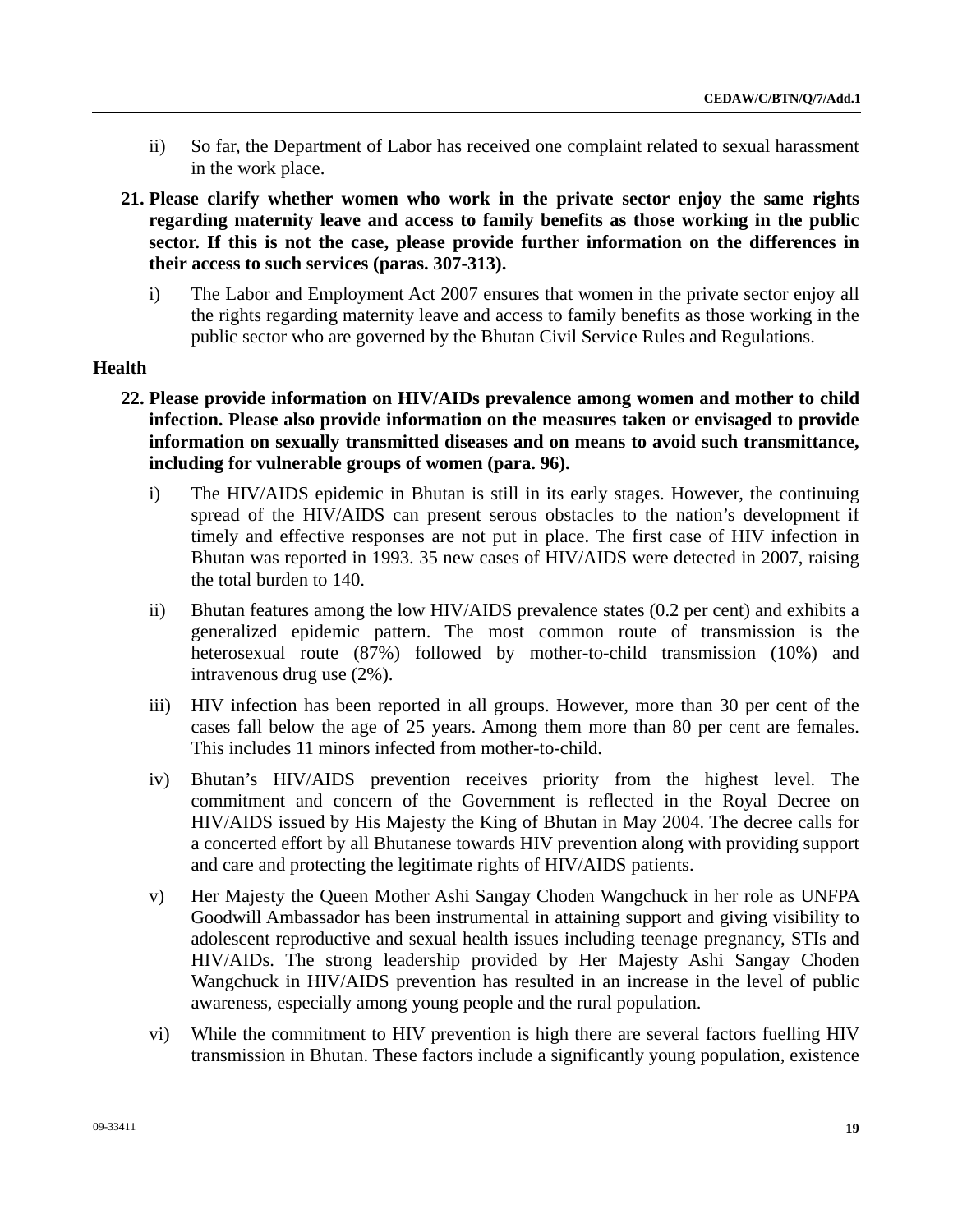- ii) So far, the Department of Labor has received one complaint related to sexual harassment in the work place.
- **21. Please clarify whether women who work in the private sector enjoy the same rights regarding maternity leave and access to family benefits as those working in the public sector. If this is not the case, please provide further information on the differences in their access to such services (paras. 307-313).** 
	- i) The Labor and Employment Act 2007 ensures that women in the private sector enjoy all the rights regarding maternity leave and access to family benefits as those working in the public sector who are governed by the Bhutan Civil Service Rules and Regulations.

## **Health**

- **22. Please provide information on HIV/AIDs prevalence among women and mother to child infection. Please also provide information on the measures taken or envisaged to provide information on sexually transmitted diseases and on means to avoid such transmittance, including for vulnerable groups of women (para. 96).** 
	- i) The HIV/AIDS epidemic in Bhutan is still in its early stages. However, the continuing spread of the HIV/AIDS can present serous obstacles to the nation's development if timely and effective responses are not put in place. The first case of HIV infection in Bhutan was reported in 1993. 35 new cases of HIV/AIDS were detected in 2007, raising the total burden to 140.
	- ii) Bhutan features among the low HIV/AIDS prevalence states (0.2 per cent) and exhibits a generalized epidemic pattern. The most common route of transmission is the heterosexual route (87%) followed by mother-to-child transmission (10%) and intravenous drug use (2%).
	- iii) HIV infection has been reported in all groups. However, more than 30 per cent of the cases fall below the age of 25 years. Among them more than 80 per cent are females. This includes 11 minors infected from mother-to-child.
	- iv) Bhutan's HIV/AIDS prevention receives priority from the highest level. The commitment and concern of the Government is reflected in the Royal Decree on HIV/AIDS issued by His Majesty the King of Bhutan in May 2004. The decree calls for a concerted effort by all Bhutanese towards HIV prevention along with providing support and care and protecting the legitimate rights of HIV/AIDS patients.
	- v) Her Majesty the Queen Mother Ashi Sangay Choden Wangchuck in her role as UNFPA Goodwill Ambassador has been instrumental in attaining support and giving visibility to adolescent reproductive and sexual health issues including teenage pregnancy, STIs and HIV/AIDs. The strong leadership provided by Her Majesty Ashi Sangay Choden Wangchuck in HIV/AIDS prevention has resulted in an increase in the level of public awareness, especially among young people and the rural population.
	- vi) While the commitment to HIV prevention is high there are several factors fuelling HIV transmission in Bhutan. These factors include a significantly young population, existence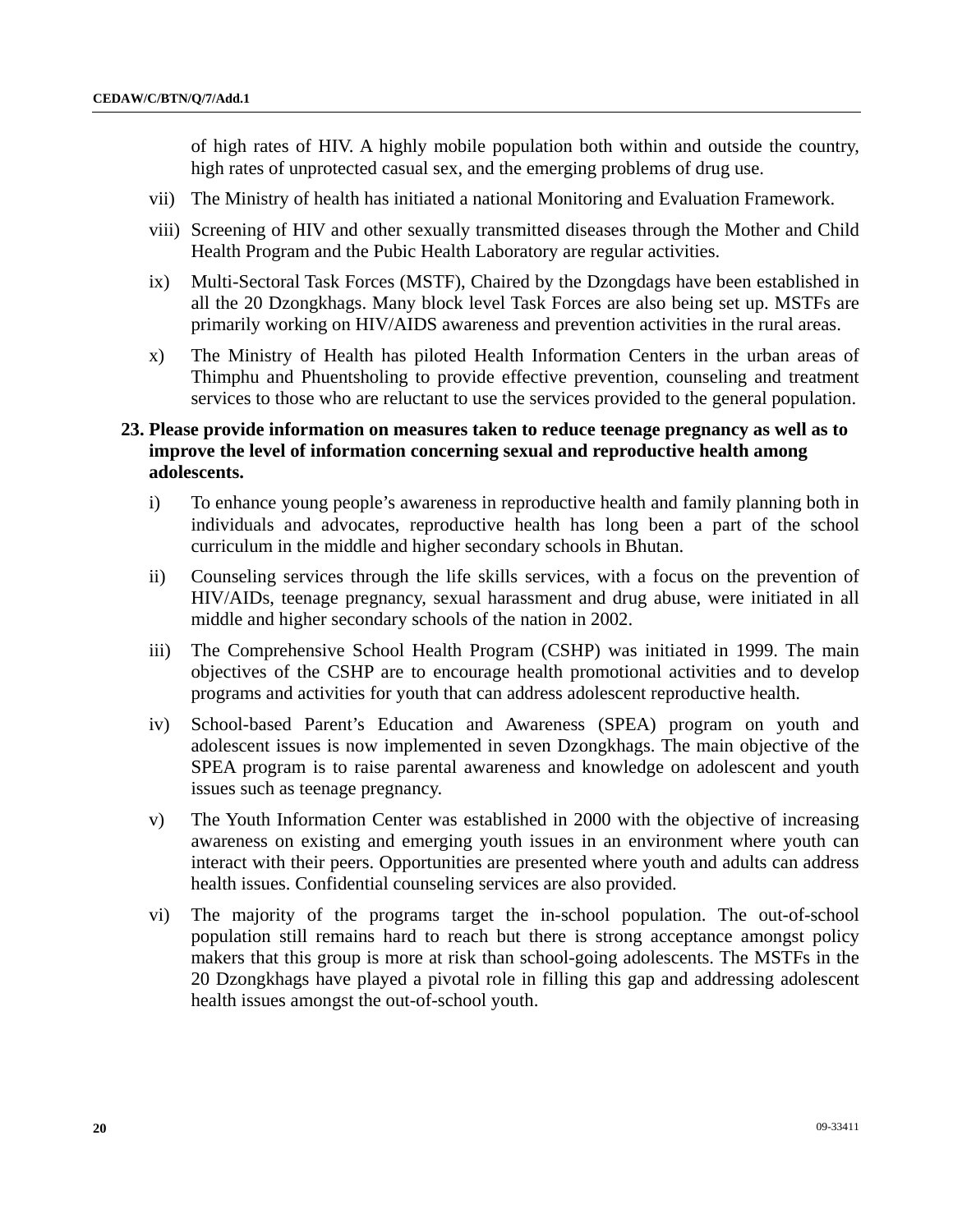of high rates of HIV. A highly mobile population both within and outside the country, high rates of unprotected casual sex, and the emerging problems of drug use.

- vii) The Ministry of health has initiated a national Monitoring and Evaluation Framework.
- viii) Screening of HIV and other sexually transmitted diseases through the Mother and Child Health Program and the Pubic Health Laboratory are regular activities.
- ix) Multi-Sectoral Task Forces (MSTF), Chaired by the Dzongdags have been established in all the 20 Dzongkhags. Many block level Task Forces are also being set up. MSTFs are primarily working on HIV/AIDS awareness and prevention activities in the rural areas.
- x) The Ministry of Health has piloted Health Information Centers in the urban areas of Thimphu and Phuentsholing to provide effective prevention, counseling and treatment services to those who are reluctant to use the services provided to the general population.
- **23. Please provide information on measures taken to reduce teenage pregnancy as well as to improve the level of information concerning sexual and reproductive health among adolescents.** 
	- i) To enhance young people's awareness in reproductive health and family planning both in individuals and advocates, reproductive health has long been a part of the school curriculum in the middle and higher secondary schools in Bhutan.
	- ii) Counseling services through the life skills services, with a focus on the prevention of HIV/AIDs, teenage pregnancy, sexual harassment and drug abuse, were initiated in all middle and higher secondary schools of the nation in 2002.
	- iii) The Comprehensive School Health Program (CSHP) was initiated in 1999. The main objectives of the CSHP are to encourage health promotional activities and to develop programs and activities for youth that can address adolescent reproductive health.
	- iv) School-based Parent's Education and Awareness (SPEA) program on youth and adolescent issues is now implemented in seven Dzongkhags. The main objective of the SPEA program is to raise parental awareness and knowledge on adolescent and youth issues such as teenage pregnancy.
	- v) The Youth Information Center was established in 2000 with the objective of increasing awareness on existing and emerging youth issues in an environment where youth can interact with their peers. Opportunities are presented where youth and adults can address health issues. Confidential counseling services are also provided.
	- vi) The majority of the programs target the in-school population. The out-of-school population still remains hard to reach but there is strong acceptance amongst policy makers that this group is more at risk than school-going adolescents. The MSTFs in the 20 Dzongkhags have played a pivotal role in filling this gap and addressing adolescent health issues amongst the out-of-school youth.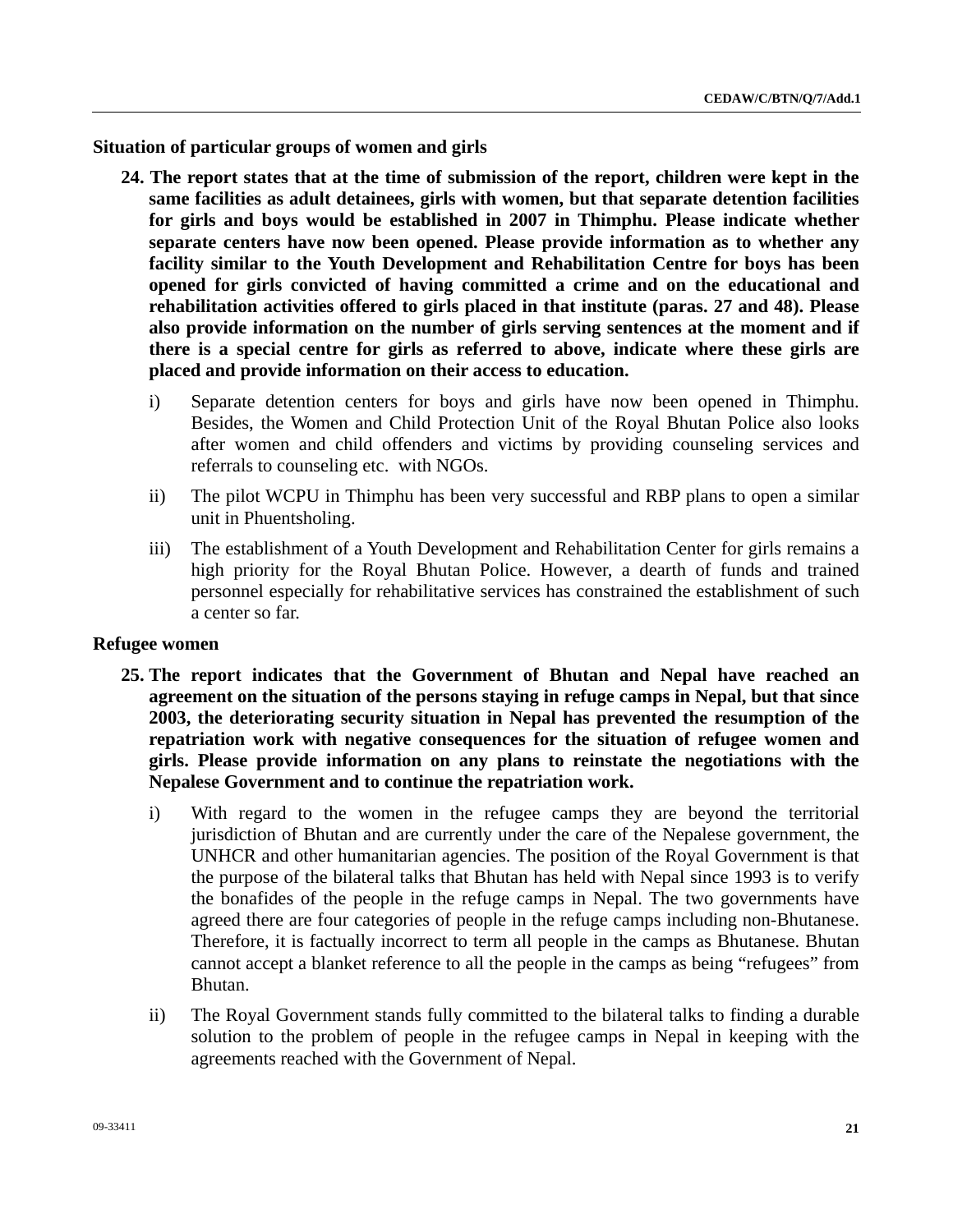**Situation of particular groups of women and girls** 

- **24. The report states that at the time of submission of the report, children were kept in the same facilities as adult detainees, girls with women, but that separate detention facilities for girls and boys would be established in 2007 in Thimphu. Please indicate whether separate centers have now been opened. Please provide information as to whether any facility similar to the Youth Development and Rehabilitation Centre for boys has been opened for girls convicted of having committed a crime and on the educational and rehabilitation activities offered to girls placed in that institute (paras. 27 and 48). Please also provide information on the number of girls serving sentences at the moment and if there is a special centre for girls as referred to above, indicate where these girls are placed and provide information on their access to education.** 
	- i) Separate detention centers for boys and girls have now been opened in Thimphu. Besides, the Women and Child Protection Unit of the Royal Bhutan Police also looks after women and child offenders and victims by providing counseling services and referrals to counseling etc. with NGOs.
	- ii) The pilot WCPU in Thimphu has been very successful and RBP plans to open a similar unit in Phuentsholing.
	- iii) The establishment of a Youth Development and Rehabilitation Center for girls remains a high priority for the Royal Bhutan Police. However, a dearth of funds and trained personnel especially for rehabilitative services has constrained the establishment of such a center so far.

#### **Refugee women**

- **25. The report indicates that the Government of Bhutan and Nepal have reached an agreement on the situation of the persons staying in refuge camps in Nepal, but that since 2003, the deteriorating security situation in Nepal has prevented the resumption of the repatriation work with negative consequences for the situation of refugee women and girls. Please provide information on any plans to reinstate the negotiations with the Nepalese Government and to continue the repatriation work.** 
	- i) With regard to the women in the refugee camps they are beyond the territorial jurisdiction of Bhutan and are currently under the care of the Nepalese government, the UNHCR and other humanitarian agencies. The position of the Royal Government is that the purpose of the bilateral talks that Bhutan has held with Nepal since 1993 is to verify the bonafides of the people in the refuge camps in Nepal. The two governments have agreed there are four categories of people in the refuge camps including non-Bhutanese. Therefore, it is factually incorrect to term all people in the camps as Bhutanese. Bhutan cannot accept a blanket reference to all the people in the camps as being "refugees" from Bhutan.
	- ii) The Royal Government stands fully committed to the bilateral talks to finding a durable solution to the problem of people in the refugee camps in Nepal in keeping with the agreements reached with the Government of Nepal.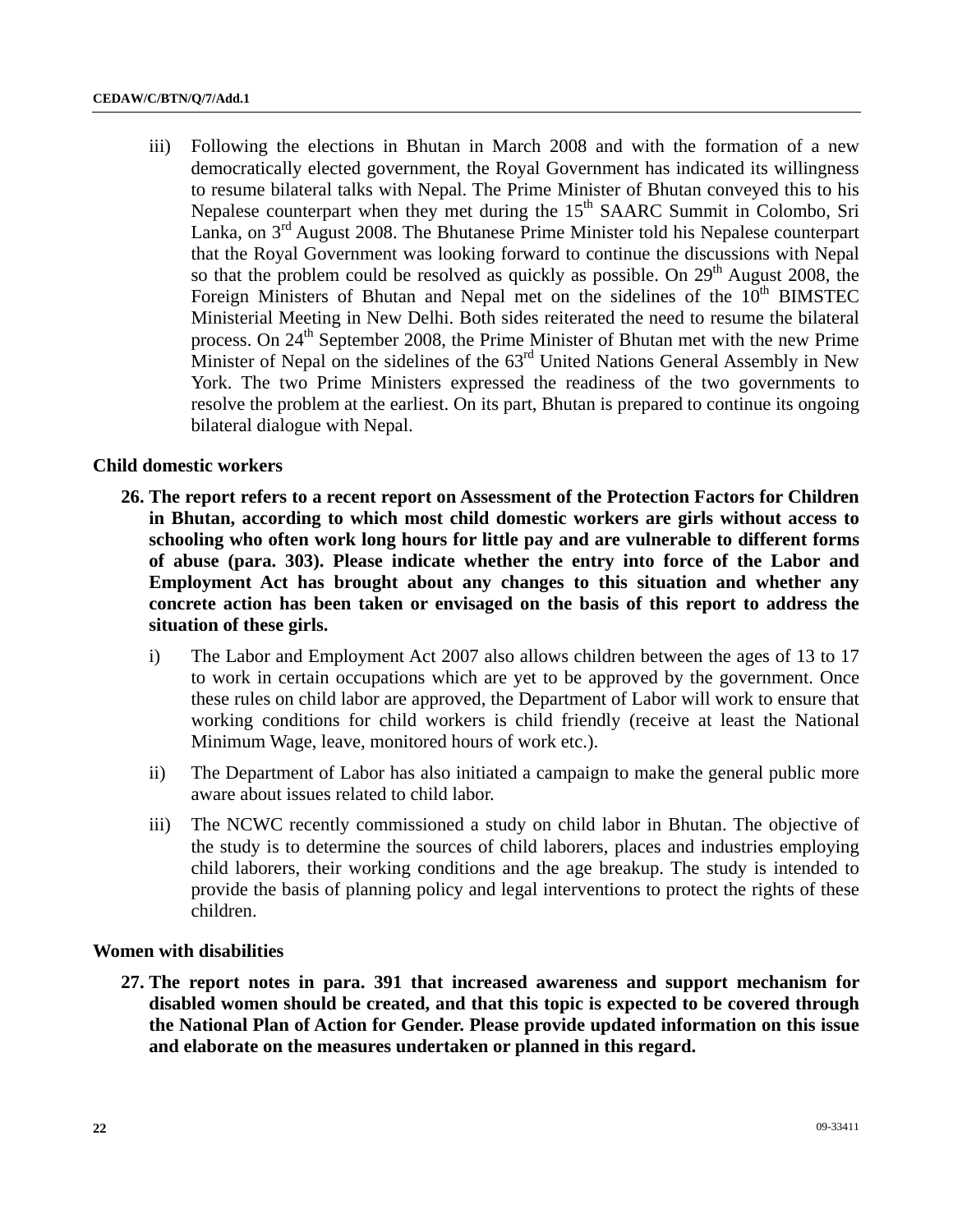iii) Following the elections in Bhutan in March 2008 and with the formation of a new democratically elected government, the Royal Government has indicated its willingness to resume bilateral talks with Nepal. The Prime Minister of Bhutan conveyed this to his Nepalese counterpart when they met during the 15<sup>th</sup> SAARC Summit in Colombo, Sri Lanka, on  $3<sup>rd</sup>$  August 2008. The Bhutanese Prime Minister told his Nepalese counterpart that the Royal Government was looking forward to continue the discussions with Nepal so that the problem could be resolved as quickly as possible. On  $29<sup>th</sup>$  August 2008, the Foreign Ministers of Bhutan and Nepal met on the sidelines of the  $10<sup>th</sup>$  BIMSTEC Ministerial Meeting in New Delhi. Both sides reiterated the need to resume the bilateral process. On 24<sup>th</sup> September 2008, the Prime Minister of Bhutan met with the new Prime Minister of Nepal on the sidelines of the 63<sup>rd</sup> United Nations General Assembly in New York. The two Prime Ministers expressed the readiness of the two governments to resolve the problem at the earliest. On its part, Bhutan is prepared to continue its ongoing bilateral dialogue with Nepal.

#### **Child domestic workers**

- **26. The report refers to a recent report on Assessment of the Protection Factors for Children in Bhutan, according to which most child domestic workers are girls without access to schooling who often work long hours for little pay and are vulnerable to different forms of abuse (para. 303). Please indicate whether the entry into force of the Labor and Employment Act has brought about any changes to this situation and whether any concrete action has been taken or envisaged on the basis of this report to address the situation of these girls.** 
	- i) The Labor and Employment Act 2007 also allows children between the ages of 13 to 17 to work in certain occupations which are yet to be approved by the government. Once these rules on child labor are approved, the Department of Labor will work to ensure that working conditions for child workers is child friendly (receive at least the National Minimum Wage, leave, monitored hours of work etc.).
	- ii) The Department of Labor has also initiated a campaign to make the general public more aware about issues related to child labor.
	- iii) The NCWC recently commissioned a study on child labor in Bhutan. The objective of the study is to determine the sources of child laborers, places and industries employing child laborers, their working conditions and the age breakup. The study is intended to provide the basis of planning policy and legal interventions to protect the rights of these children.

#### **Women with disabilities**

**27. The report notes in para. 391 that increased awareness and support mechanism for disabled women should be created, and that this topic is expected to be covered through the National Plan of Action for Gender. Please provide updated information on this issue and elaborate on the measures undertaken or planned in this regard.**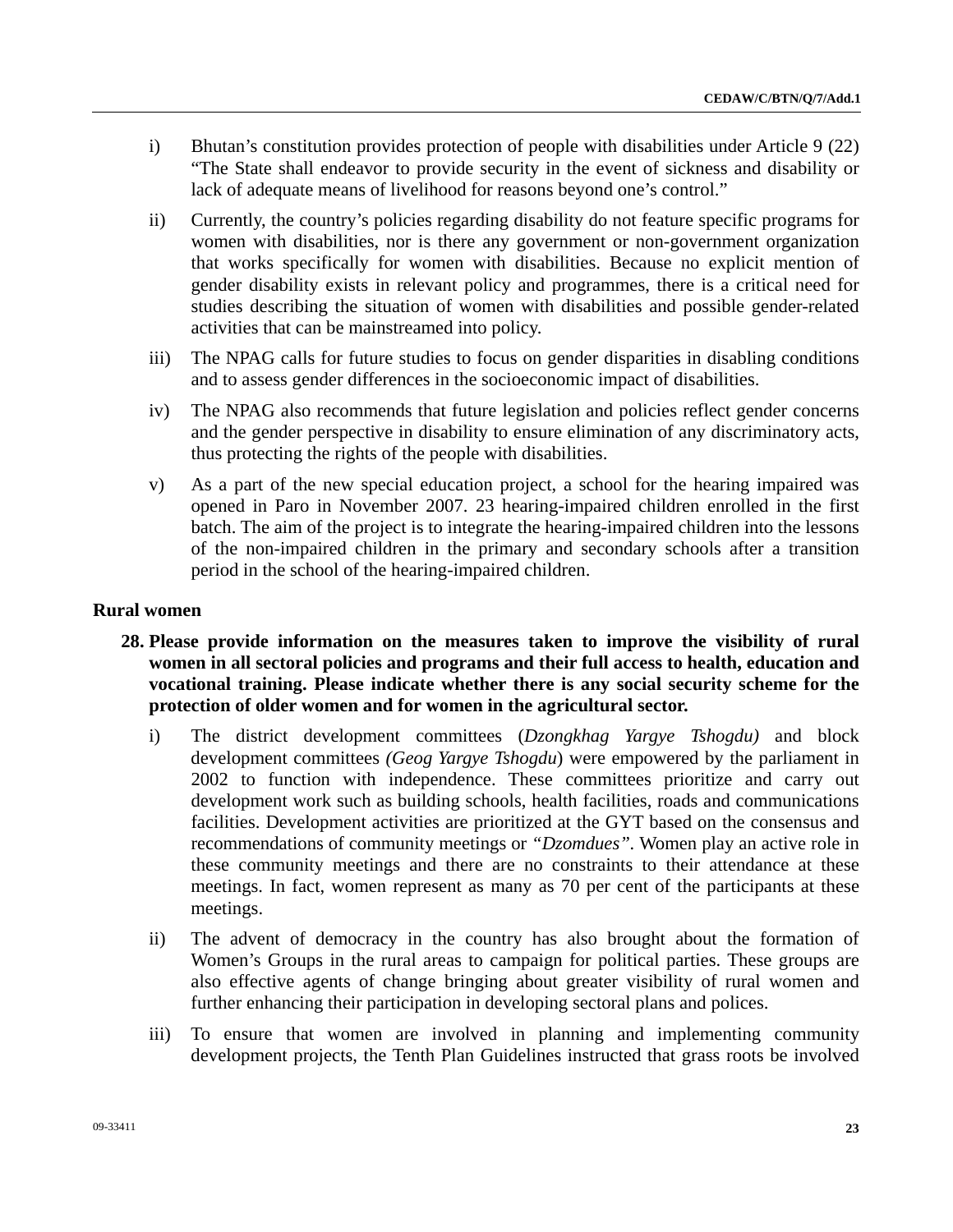- i) Bhutan's constitution provides protection of people with disabilities under Article 9 (22) "The State shall endeavor to provide security in the event of sickness and disability or lack of adequate means of livelihood for reasons beyond one's control."
- ii) Currently, the country's policies regarding disability do not feature specific programs for women with disabilities, nor is there any government or non-government organization that works specifically for women with disabilities. Because no explicit mention of gender disability exists in relevant policy and programmes, there is a critical need for studies describing the situation of women with disabilities and possible gender-related activities that can be mainstreamed into policy.
- iii) The NPAG calls for future studies to focus on gender disparities in disabling conditions and to assess gender differences in the socioeconomic impact of disabilities.
- iv) The NPAG also recommends that future legislation and policies reflect gender concerns and the gender perspective in disability to ensure elimination of any discriminatory acts, thus protecting the rights of the people with disabilities.
- v) As a part of the new special education project, a school for the hearing impaired was opened in Paro in November 2007. 23 hearing-impaired children enrolled in the first batch. The aim of the project is to integrate the hearing-impaired children into the lessons of the non-impaired children in the primary and secondary schools after a transition period in the school of the hearing-impaired children.

## **Rural women**

- **28. Please provide information on the measures taken to improve the visibility of rural women in all sectoral policies and programs and their full access to health, education and vocational training. Please indicate whether there is any social security scheme for the protection of older women and for women in the agricultural sector.** 
	- i) The district development committees (*Dzongkhag Yargye Tshogdu)* and block development committees *(Geog Yargye Tshogdu*) were empowered by the parliament in 2002 to function with independence. These committees prioritize and carry out development work such as building schools, health facilities, roads and communications facilities. Development activities are prioritized at the GYT based on the consensus and recommendations of community meetings or *"Dzomdues".* Women play an active role in these community meetings and there are no constraints to their attendance at these meetings. In fact, women represent as many as 70 per cent of the participants at these meetings.
	- ii) The advent of democracy in the country has also brought about the formation of Women's Groups in the rural areas to campaign for political parties. These groups are also effective agents of change bringing about greater visibility of rural women and further enhancing their participation in developing sectoral plans and polices.
	- iii) To ensure that women are involved in planning and implementing community development projects, the Tenth Plan Guidelines instructed that grass roots be involved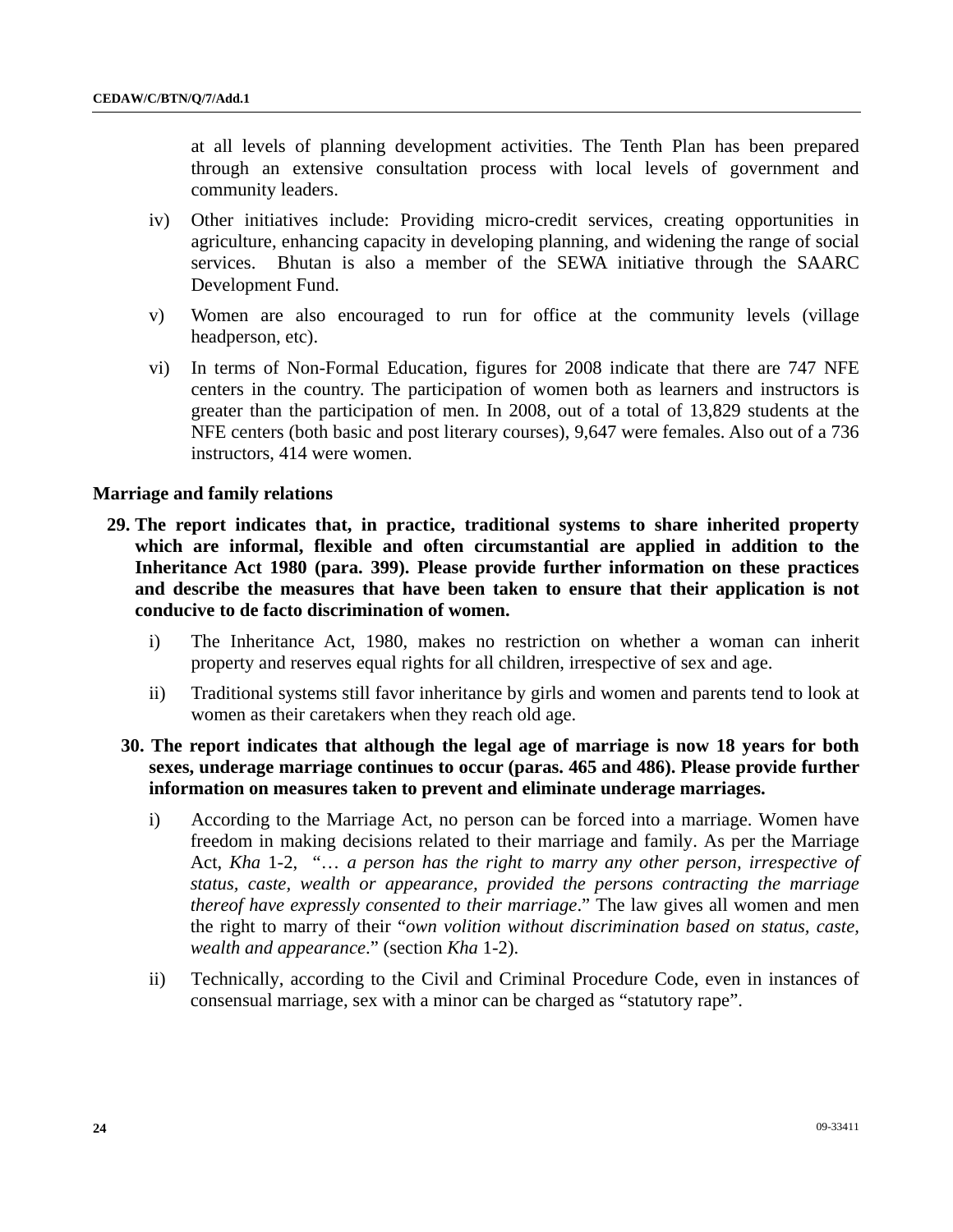at all levels of planning development activities. The Tenth Plan has been prepared through an extensive consultation process with local levels of government and community leaders.

- iv) Other initiatives include: Providing micro-credit services, creating opportunities in agriculture, enhancing capacity in developing planning, and widening the range of social services. Bhutan is also a member of the SEWA initiative through the SAARC Development Fund.
- v) Women are also encouraged to run for office at the community levels (village headperson, etc).
- vi) In terms of Non-Formal Education, figures for 2008 indicate that there are 747 NFE centers in the country. The participation of women both as learners and instructors is greater than the participation of men. In 2008, out of a total of 13,829 students at the NFE centers (both basic and post literary courses), 9,647 were females. Also out of a 736 instructors, 414 were women.

#### **Marriage and family relations**

- **29. The report indicates that, in practice, traditional systems to share inherited property which are informal, flexible and often circumstantial are applied in addition to the Inheritance Act 1980 (para. 399). Please provide further information on these practices and describe the measures that have been taken to ensure that their application is not conducive to de facto discrimination of women.** 
	- i) The Inheritance Act, 1980, makes no restriction on whether a woman can inherit property and reserves equal rights for all children, irrespective of sex and age.
	- ii) Traditional systems still favor inheritance by girls and women and parents tend to look at women as their caretakers when they reach old age.

## **30. The report indicates that although the legal age of marriage is now 18 years for both sexes, underage marriage continues to occur (paras. 465 and 486). Please provide further information on measures taken to prevent and eliminate underage marriages.**

- i) According to the Marriage Act, no person can be forced into a marriage. Women have freedom in making decisions related to their marriage and family. As per the Marriage Act, *Kha* 1-2, "… *a person has the right to marry any other person, irrespective of status, caste, wealth or appearance, provided the persons contracting the marriage thereof have expressly consented to their marriage*." The law gives all women and men the right to marry of their "*own volition without discrimination based on status, caste, wealth and appearance*." (section *Kha* 1-2).
- ii) Technically, according to the Civil and Criminal Procedure Code, even in instances of consensual marriage, sex with a minor can be charged as "statutory rape".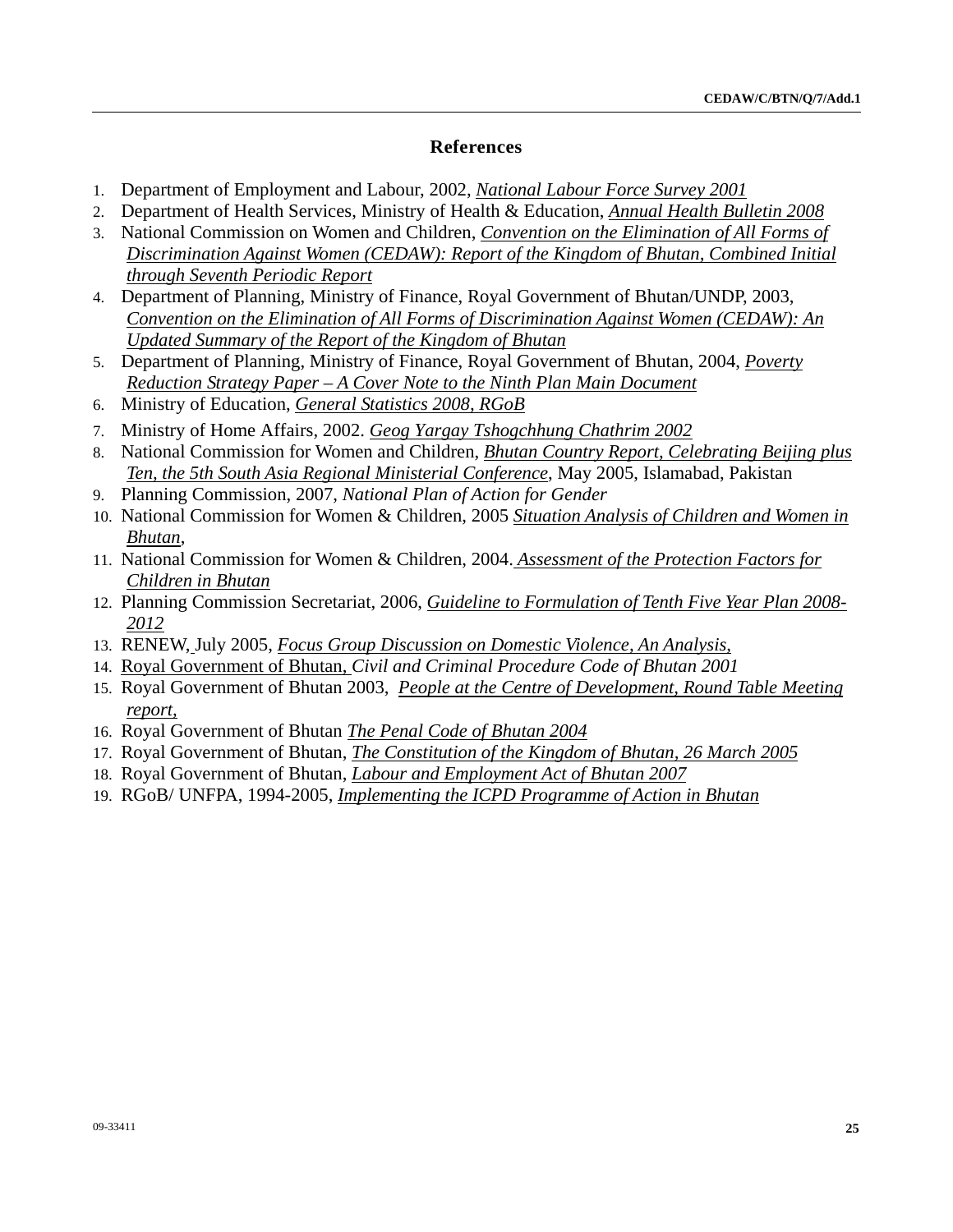## **References**

- 1. Department of Employment and Labour, 2002, *National Labour Force Survey 2001*
- 2. Department of Health Services, Ministry of Health & Education, *Annual Health Bulletin 2008*
- 3. National Commission on Women and Children, *Convention on the Elimination of All Forms of Discrimination Against Women (CEDAW): Report of the Kingdom of Bhutan, Combined Initial through Seventh Periodic Report*
- 4. Department of Planning, Ministry of Finance, Royal Government of Bhutan/UNDP, 2003, *Convention on the Elimination of All Forms of Discrimination Against Women (CEDAW): An Updated Summary of the Report of the Kingdom of Bhutan*
- 5. Department of Planning, Ministry of Finance, Royal Government of Bhutan, 2004, *Poverty Reduction Strategy Paper – A Cover Note to the Ninth Plan Main Document*
- 6. Ministry of Education, *General Statistics 2008, RGoB*
- 7. Ministry of Home Affairs, 2002. *Geog Yargay Tshogchhung Chathrim 2002*
- 8. National Commission for Women and Children, *Bhutan Country Report, Celebrating Beijing plus Ten, the 5th South Asia Regional Ministerial Conference*, May 2005, Islamabad, Pakistan
- 9. Planning Commission, 2007, *National Plan of Action for Gender*
- 10. National Commission for Women & Children, 2005 *Situation Analysis of Children and Women in Bhutan*,
- 11. National Commission for Women & Children, 2004. *Assessment of the Protection Factors for Children in Bhutan*
- 12. Planning Commission Secretariat, 2006, *Guideline to Formulation of Tenth Five Year Plan 2008- 2012*
- 13. RENEW, July 2005, *Focus Group Discussion on Domestic Violence, An Analysis,*
- 14. Royal Government of Bhutan, *Civil and Criminal Procedure Code of Bhutan 2001*
- 15. Royal Government of Bhutan 2003, *People at the Centre of Development, Round Table Meeting report,*
- 16. Royal Government of Bhutan *The Penal Code of Bhutan 2004*
- 17. Royal Government of Bhutan, *The Constitution of the Kingdom of Bhutan, 26 March 2005*
- 18. Royal Government of Bhutan, *Labour and Employment Act of Bhutan 2007*
- 19. RGoB/ UNFPA, 1994-2005, *Implementing the ICPD Programme of Action in Bhutan*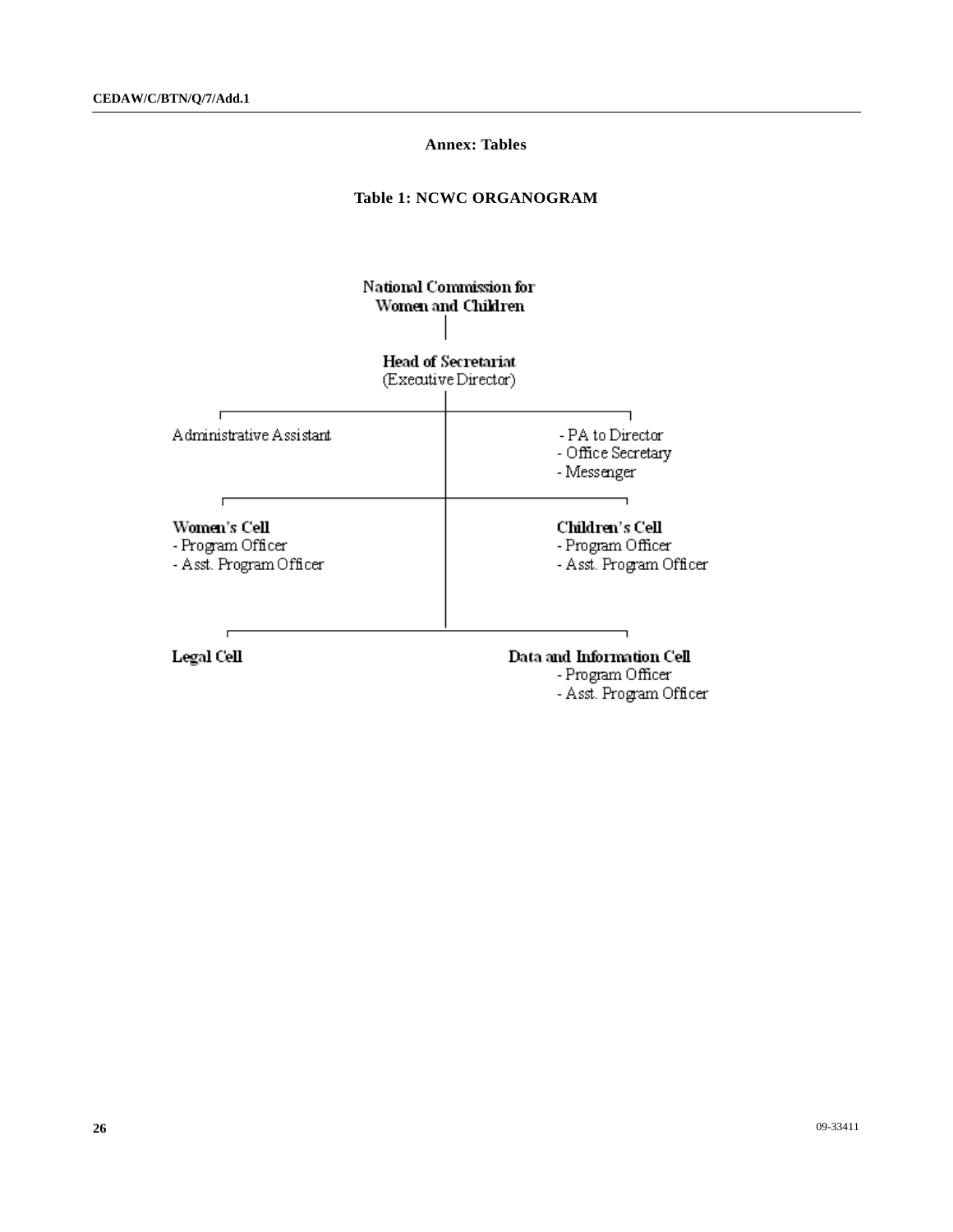### **Annex: Tables**

#### **Table 1: NCWC ORGANOGRAM**



- Asst. Program Officer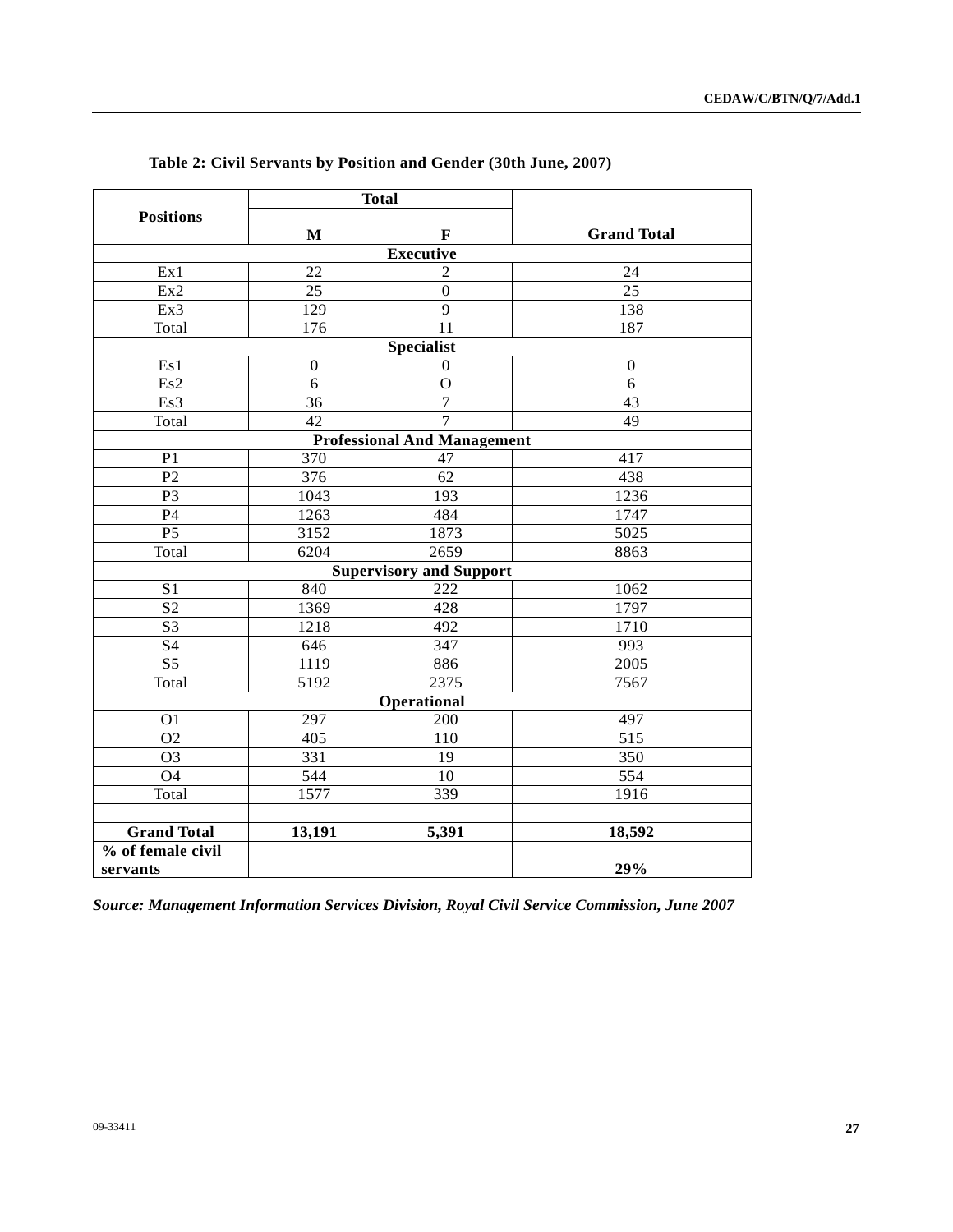|                    |                  | <b>Total</b>                       |                    |
|--------------------|------------------|------------------------------------|--------------------|
| <b>Positions</b>   | $\mathbf{M}$     | $\mathbf F$                        | <b>Grand Total</b> |
|                    |                  | <b>Executive</b>                   |                    |
| Ex1                | 22               | $\overline{2}$                     | 24                 |
| Ex2                | $\overline{25}$  | $\overline{0}$                     | $\overline{25}$    |
| Ex3                | $\overline{129}$ | $\overline{9}$                     | 138                |
| Total              | $\overline{176}$ | $\overline{11}$                    | 187                |
|                    |                  | <b>Specialist</b>                  |                    |
| Es1                | $\mathbf{0}$     | $\mathbf{0}$                       | $\Omega$           |
| Es2                | $\overline{6}$   | $\overline{O}$                     | 6                  |
| Es3                | 36               | $\overline{7}$                     | 43                 |
| Total              | 42               | $\overline{7}$                     | 49                 |
|                    |                  | <b>Professional And Management</b> |                    |
| P <sub>1</sub>     | 370              | 47                                 | 417                |
| $\overline{P2}$    | $\overline{376}$ | 62                                 | 438                |
| P <sub>3</sub>     | 1043             | 193                                | 1236               |
| $\mathbf{P}4$      | 1263             | 484                                | 1747               |
| P <sub>5</sub>     | 3152             | 1873                               | 5025               |
| Total              | 6204             | 2659                               | 8863               |
|                    |                  | <b>Supervisory and Support</b>     |                    |
| S <sub>1</sub>     | 840              | 222                                | 1062               |
| $\overline{S2}$    | 1369             | 428                                | 1797               |
| S <sub>3</sub>     | 1218             | 492                                | 1710               |
| S4                 | 646              | 347                                | 993                |
| $\overline{S5}$    | 1119             | 886                                | 2005               |
| Total              | 5192             | 2375                               | 7567               |
|                    |                  | Operational                        |                    |
| O <sub>1</sub>     | 297              | 200                                | 497                |
| O <sub>2</sub>     | 405              | 110                                | 515                |
| O <sub>3</sub>     | 331              | 19                                 | 350                |
| <b>O4</b>          | 544              | 10                                 | 554                |
| Total              | 1577             | 339                                | 1916               |
|                    |                  |                                    |                    |
| <b>Grand Total</b> | 13,191           | 5,391                              | 18,592             |
| % of female civil  |                  |                                    |                    |
| servants           |                  |                                    | 29%                |

**Table 2: Civil Servants by Position and Gender (30th June, 2007)** 

*Source: Management Information Services Division, Royal Civil Service Commission, June 2007*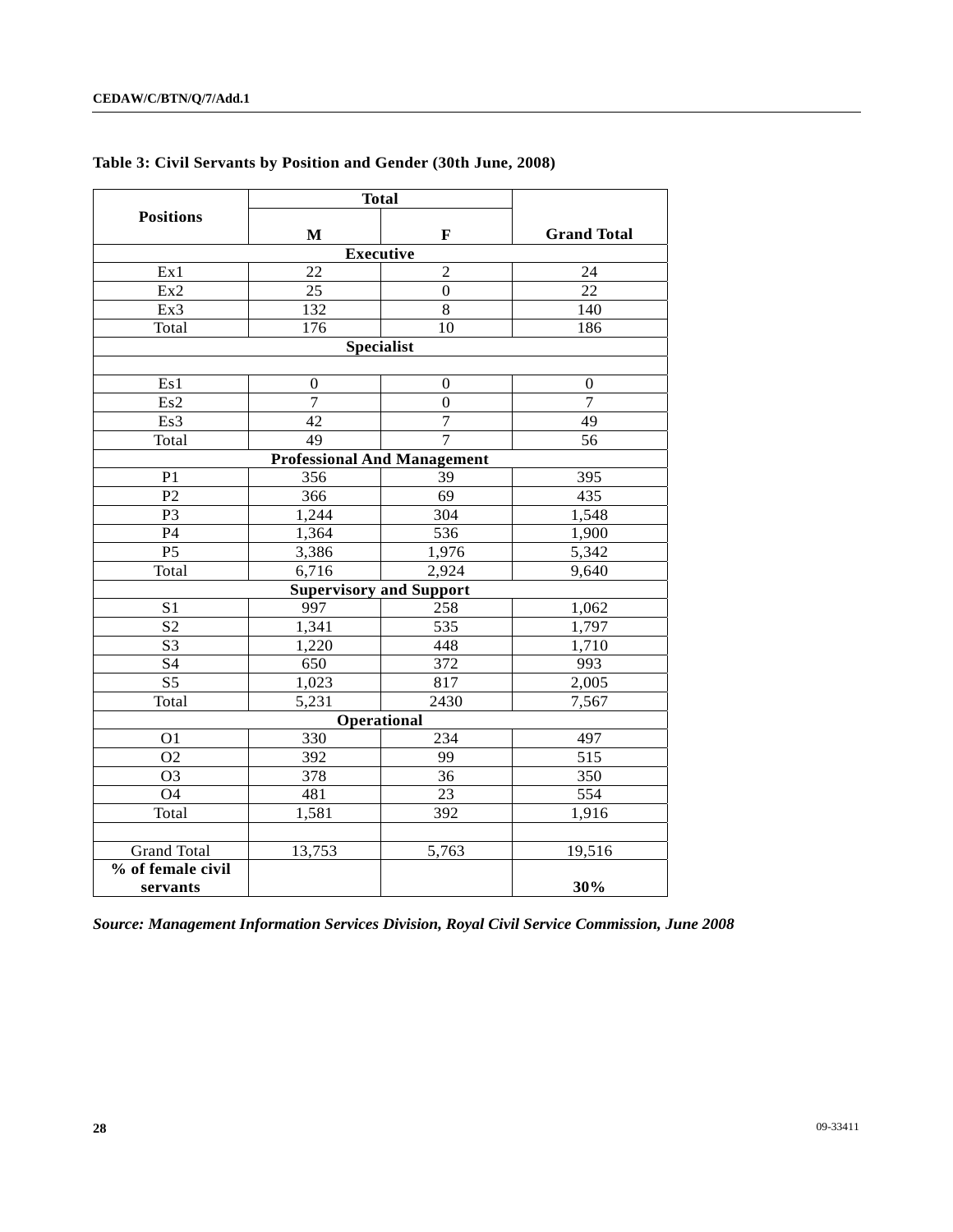|                               | <b>Total</b>     |                                    |                    |
|-------------------------------|------------------|------------------------------------|--------------------|
| <b>Positions</b>              | $\mathbf{M}$     | F                                  | <b>Grand Total</b> |
|                               |                  | <b>Executive</b>                   |                    |
| Ex1                           | 22               | $\overline{2}$                     | 24                 |
| Ex2                           | 25               | $\mathbf{0}$                       | 22                 |
| Ex3                           | 132              | $\overline{8}$                     | 140                |
| Total                         | 176              | 10                                 | 186                |
|                               |                  | <b>Specialist</b>                  |                    |
|                               |                  |                                    |                    |
| Es1                           | $\boldsymbol{0}$ | 0                                  | $\boldsymbol{0}$   |
| Es2                           | $\overline{7}$   | $\overline{0}$                     | $\overline{7}$     |
| Es3                           | 42               | $\overline{7}$                     | 49                 |
| Total                         | 49               | $\overline{7}$                     | 56                 |
|                               |                  | <b>Professional And Management</b> |                    |
| P <sub>1</sub>                | 356              | 39                                 | 395                |
| P <sub>2</sub>                | 366              | 69                                 | 435                |
| P <sub>3</sub>                | 1,244            | 304                                | 1,548              |
| P4                            | 1,364            | 536                                | 1,900              |
| P <sub>5</sub>                | 3,386            | 1,976                              | 5,342              |
| Total                         | 6,716<br>2,924   |                                    | 9,640              |
|                               |                  | <b>Supervisory and Support</b>     |                    |
| S <sub>1</sub>                | 997              | 258                                | 1,062              |
| S <sub>2</sub>                | 1,341            | 535                                | 1,797              |
| S <sub>3</sub>                | 1,220            | 448                                | 1,710              |
| <b>S4</b>                     | 650              | 372                                | 993                |
| $\overline{S5}$               | 1,023            | 817                                | 2,005              |
| Total                         | 5,231            | 2430                               | 7,567              |
|                               |                  | Operational                        |                    |
| O <sub>1</sub>                | 330              | 234                                | 497                |
| O <sub>2</sub>                | 392              | 99                                 | 515                |
| O <sub>3</sub>                | 378              | 36                                 | 350                |
| O <sub>4</sub>                | 481              | 23                                 | 554                |
| Total                         | 1,581            | 392                                | 1,916              |
|                               |                  |                                    |                    |
| <b>Grand Total</b>            | 13,753           | 5,763                              | 19,516             |
| % of female civil<br>servants |                  |                                    | 30%                |

## **Table 3: Civil Servants by Position and Gender (30th June, 2008)**

*Source: Management Information Services Division, Royal Civil Service Commission, June 2008*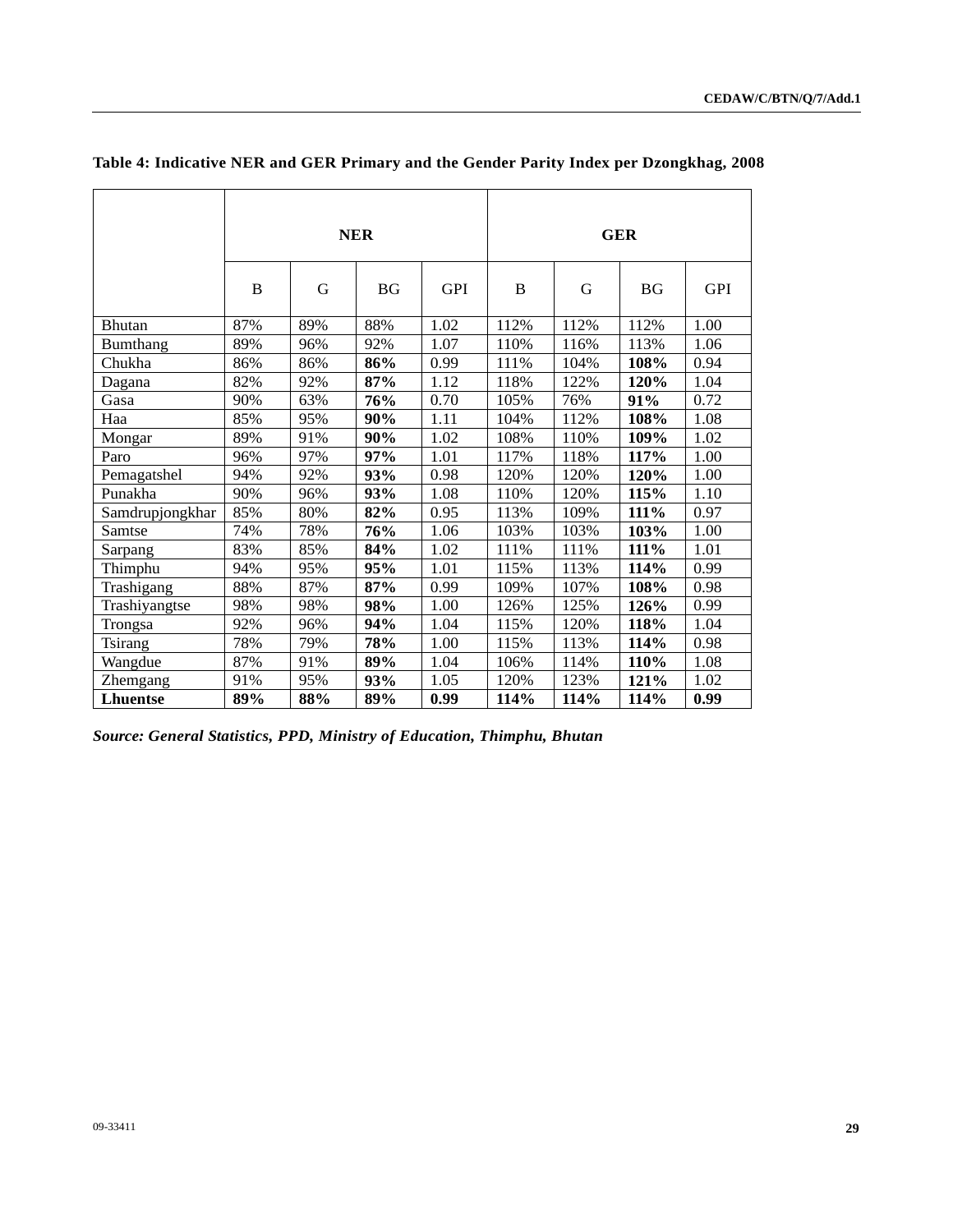|                 | <b>NER</b> |     |     |            | <b>GER</b> |      |                         |            |
|-----------------|------------|-----|-----|------------|------------|------|-------------------------|------------|
|                 | B          | G   | BG  | <b>GPI</b> | B          | G    | $\mathbf{B} \mathbf{G}$ | <b>GPI</b> |
| Bhutan          | 87%        | 89% | 88% | 1.02       | 112%       | 112% | 112%                    | 1.00       |
| <b>Bumthang</b> | 89%        | 96% | 92% | 1.07       | 110%       | 116% | 113%                    | 1.06       |
| Chukha          | 86%        | 86% | 86% | 0.99       | 111%       | 104% | 108%                    | 0.94       |
| Dagana          | 82%        | 92% | 87% | 1.12       | 118%       | 122% | 120%                    | 1.04       |
| Gasa            | 90%        | 63% | 76% | 0.70       | 105%       | 76%  | 91%                     | 0.72       |
| Haa             | 85%        | 95% | 90% | 1.11       | 104%       | 112% | 108%                    | 1.08       |
| Mongar          | 89%        | 91% | 90% | 1.02       | 108%       | 110% | 109%                    | 1.02       |
| Paro            | 96%        | 97% | 97% | 1.01       | 117%       | 118% | 117%                    | 1.00       |
| Pemagatshel     | 94%        | 92% | 93% | 0.98       | 120%       | 120% | 120%                    | 1.00       |
| Punakha         | 90%        | 96% | 93% | 1.08       | 110%       | 120% | 115%                    | 1.10       |
| Samdrupjongkhar | 85%        | 80% | 82% | 0.95       | 113%       | 109% | 111%                    | 0.97       |
| Samtse          | 74%        | 78% | 76% | 1.06       | 103%       | 103% | 103%                    | 1.00       |
| Sarpang         | 83%        | 85% | 84% | 1.02       | 111%       | 111% | 111%                    | 1.01       |
| Thimphu         | 94%        | 95% | 95% | 1.01       | 115%       | 113% | 114%                    | 0.99       |
| Trashigang      | 88%        | 87% | 87% | 0.99       | 109%       | 107% | 108%                    | 0.98       |
| Trashiyangtse   | 98%        | 98% | 98% | 1.00       | 126%       | 125% | 126%                    | 0.99       |
| Trongsa         | 92%        | 96% | 94% | 1.04       | 115%       | 120% | 118%                    | 1.04       |
| Tsirang         | 78%        | 79% | 78% | 1.00       | 115%       | 113% | 114%                    | 0.98       |
| Wangdue         | 87%        | 91% | 89% | 1.04       | 106%       | 114% | 110%                    | 1.08       |
| Zhemgang        | 91%        | 95% | 93% | 1.05       | 120%       | 123% | 121%                    | 1.02       |
| <b>Lhuentse</b> | 89%        | 88% | 89% | 0.99       | 114%       | 114% | 114%                    | 0.99       |

## **Table 4: Indicative NER and GER Primary and the Gender Parity Index per Dzongkhag, 2008**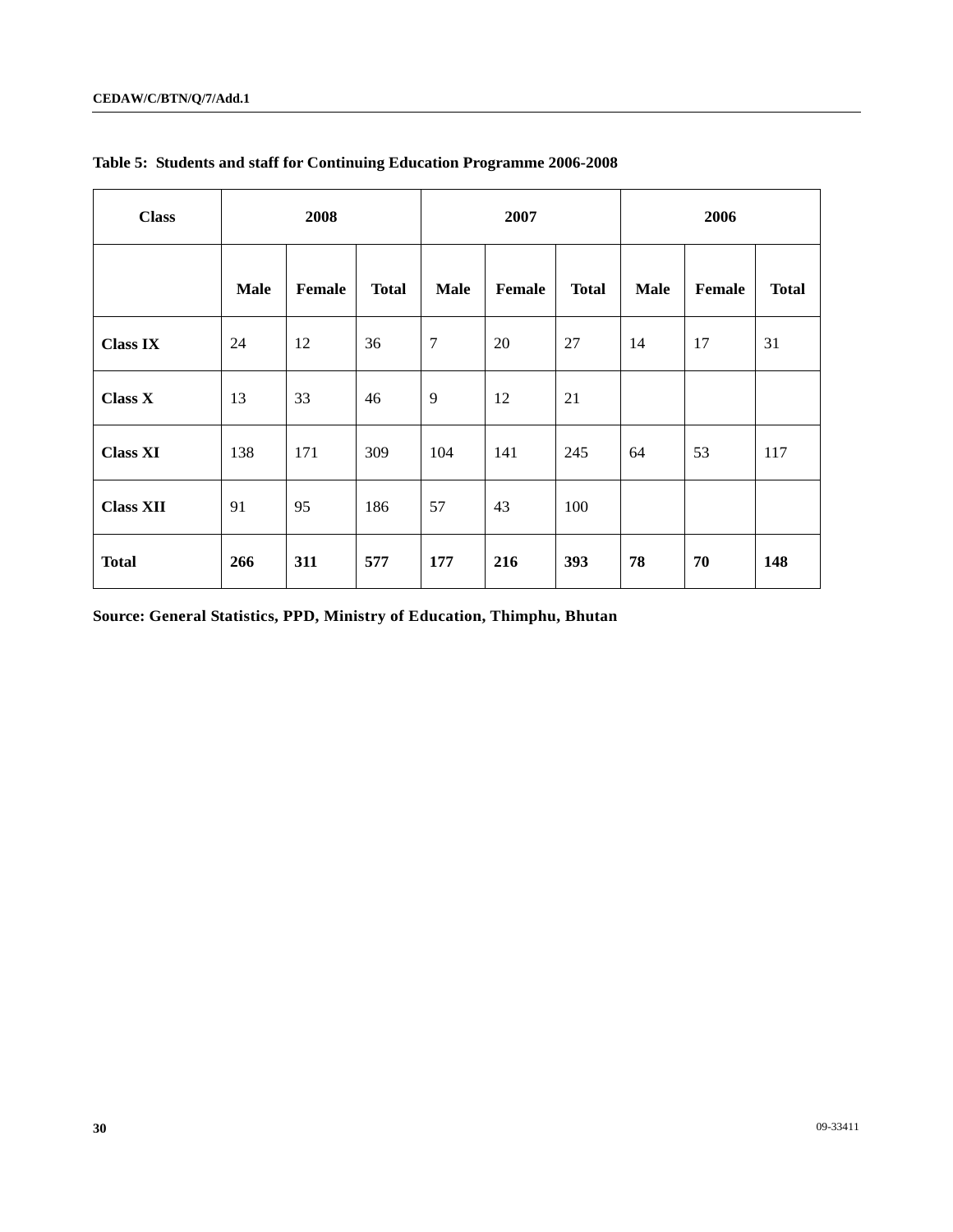| <b>Class</b>     | 2008        |               |              | 2007        |        |              | 2006        |               |              |
|------------------|-------------|---------------|--------------|-------------|--------|--------------|-------------|---------------|--------------|
|                  | <b>Male</b> | <b>Female</b> | <b>Total</b> | <b>Male</b> | Female | <b>Total</b> | <b>Male</b> | <b>Female</b> | <b>Total</b> |
| <b>Class IX</b>  | 24          | 12            | 36           | $\tau$      | 20     | 27           | 14          | 17            | 31           |
| <b>Class X</b>   | 13          | 33            | 46           | 9           | 12     | 21           |             |               |              |
| <b>Class XI</b>  | 138         | 171           | 309          | 104         | 141    | 245          | 64          | 53            | 117          |
| <b>Class XII</b> | 91          | 95            | 186          | 57          | 43     | 100          |             |               |              |
| <b>Total</b>     | 266         | 311           | 577          | 177         | 216    | 393          | 78          | 70            | 148          |

**Table 5: Students and staff for Continuing Education Programme 2006-2008**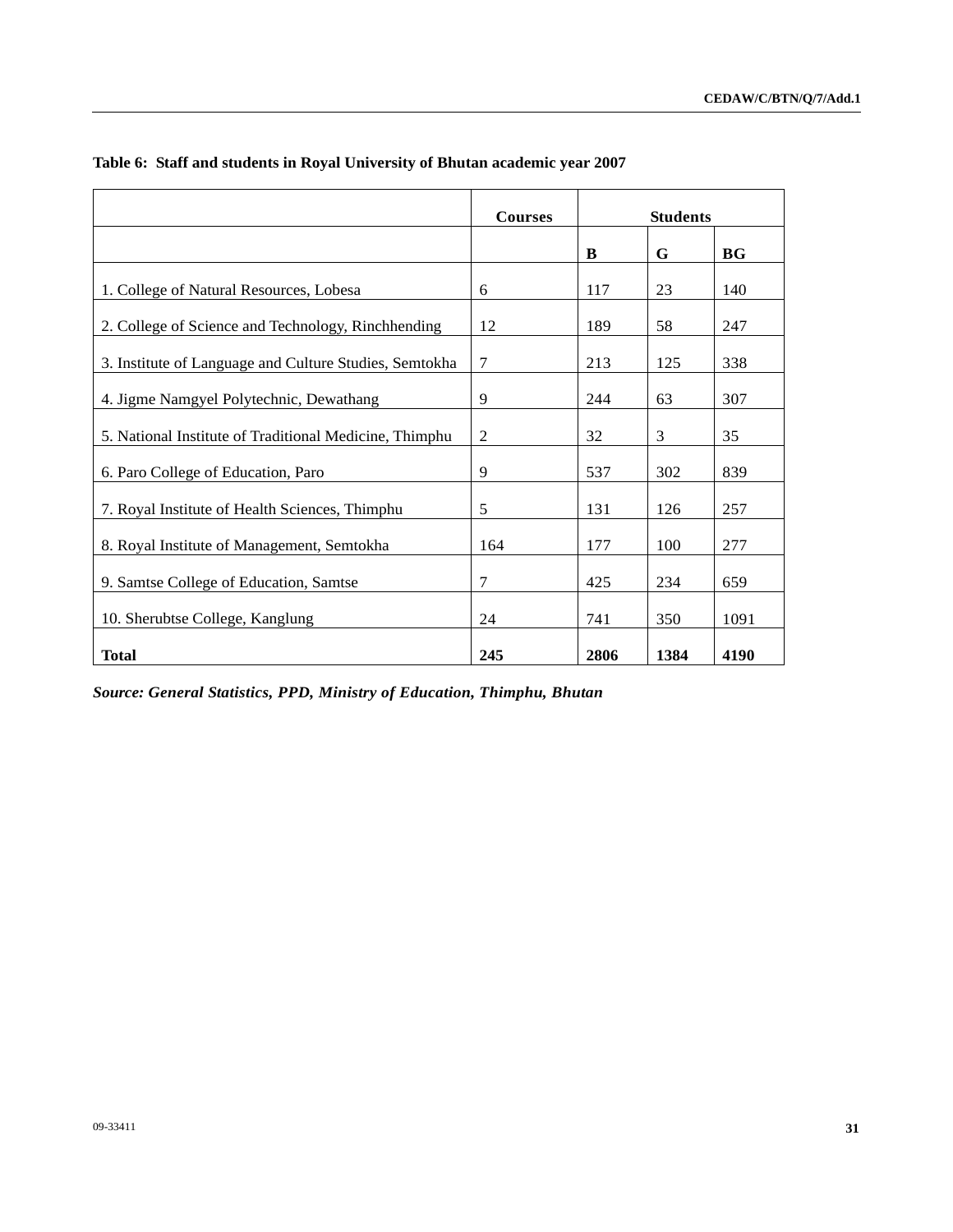|                                                        | <b>Courses</b> |      | <b>Students</b> |      |
|--------------------------------------------------------|----------------|------|-----------------|------|
|                                                        |                | B    | G               | BG   |
| 1. College of Natural Resources, Lobesa                | 6              | 117  | 23              | 140  |
| 2. College of Science and Technology, Rinchhending     | 12             | 189  | 58              | 247  |
| 3. Institute of Language and Culture Studies, Semtokha | 7              | 213  | 125             | 338  |
| 4. Jigme Namgyel Polytechnic, Dewathang                | 9              | 244  | 63              | 307  |
| 5. National Institute of Traditional Medicine, Thimphu | $\overline{2}$ | 32   | 3               | 35   |
| 6. Paro College of Education, Paro                     | 9              | 537  | 302             | 839  |
| 7. Royal Institute of Health Sciences, Thimphu         | 5              | 131  | 126             | 257  |
| 8. Royal Institute of Management, Semtokha             | 164            | 177  | 100             | 277  |
| 9. Samtse College of Education, Samtse                 | 7              | 425  | 234             | 659  |
| 10. Sherubtse College, Kanglung                        | 24             | 741  | 350             | 1091 |
| <b>Total</b>                                           | 245            | 2806 | 1384            | 4190 |

## **Table 6: Staff and students in Royal University of Bhutan academic year 2007**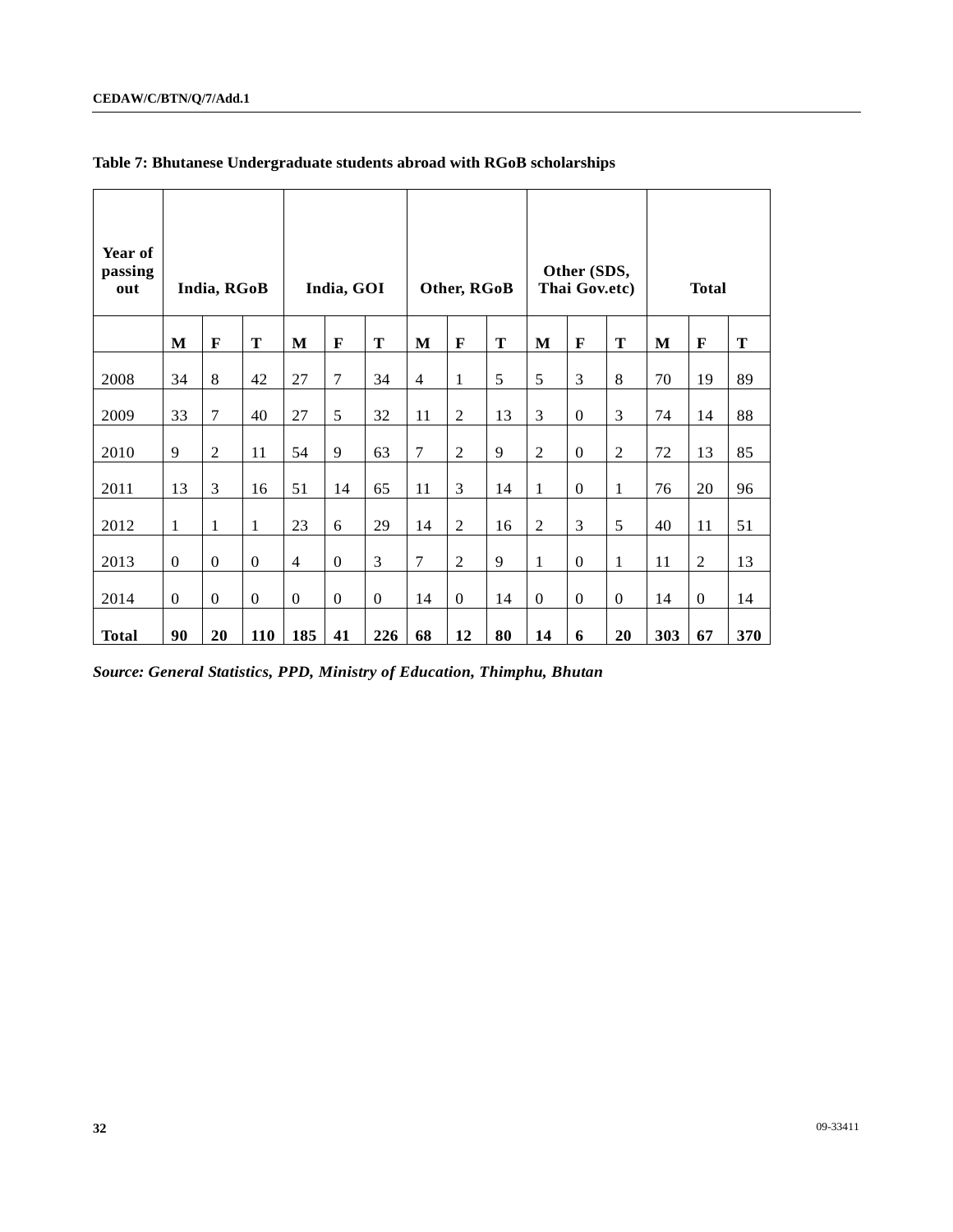| Year of<br>passing<br>out |              | India, RGoB    |                  |                | India, GOI   |              |                | Other, RGoB    |    |                | Other (SDS,<br>Thai Gov.etc) |                |     | <b>Total</b>   |     |
|---------------------------|--------------|----------------|------------------|----------------|--------------|--------------|----------------|----------------|----|----------------|------------------------------|----------------|-----|----------------|-----|
|                           | M            | F              | T                | M              | F            | T            | M              | F              | T  | $\mathbf{M}$   | $\mathbf F$                  | T              | M   | F              | T   |
| 2008                      | 34           | 8              | 42               | 27             | 7            | 34           | $\overline{4}$ | $\mathbf{1}$   | 5  | 5              | 3                            | $8\,$          | 70  | 19             | 89  |
| 2009                      | 33           | 7              | 40               | 27             | 5            | 32           | 11             | $\mathfrak{2}$ | 13 | 3              | $\mathbf{0}$                 | 3              | 74  | 14             | 88  |
| 2010                      | 9            | $\overline{2}$ | 11               | 54             | 9            | 63           | 7              | $\overline{2}$ | 9  | $\overline{2}$ | $\mathbf{0}$                 | $\mathfrak{2}$ | 72  | 13             | 85  |
| 2011                      | 13           | 3              | 16               | 51             | 14           | 65           | 11             | 3              | 14 | $\mathbf{1}$   | $\mathbf{0}$                 | 1              | 76  | 20             | 96  |
| 2012                      | $\mathbf{1}$ | 1              | $\mathbf{1}$     | 23             | 6            | 29           | 14             | $\mathfrak{2}$ | 16 | $\overline{2}$ | 3                            | 5              | 40  | 11             | 51  |
| 2013                      | $\mathbf{0}$ | $\overline{0}$ | $\boldsymbol{0}$ | $\overline{4}$ | $\mathbf{0}$ | 3            | 7              | $\overline{2}$ | 9  | $\mathbf{1}$   | $\mathbf{0}$                 | 1              | 11  | $\overline{c}$ | 13  |
| 2014                      | $\mathbf{0}$ | $\theta$       | $\mathbf{0}$     | $\mathbf{0}$   | $\mathbf{0}$ | $\mathbf{0}$ | 14             | $\mathbf{0}$   | 14 | $\mathbf{0}$   | $\mathbf{0}$                 | $\mathbf{0}$   | 14  | $\mathbf{0}$   | 14  |
| <b>Total</b>              | 90           | 20             | 110              | 185            | 41           | 226          | 68             | 12             | 80 | 14             | 6                            | 20             | 303 | 67             | 370 |

## **Table 7: Bhutanese Undergraduate students abroad with RGoB scholarships**

*Source: General Statistics, PPD, Ministry of Education, Thimphu, Bhutan*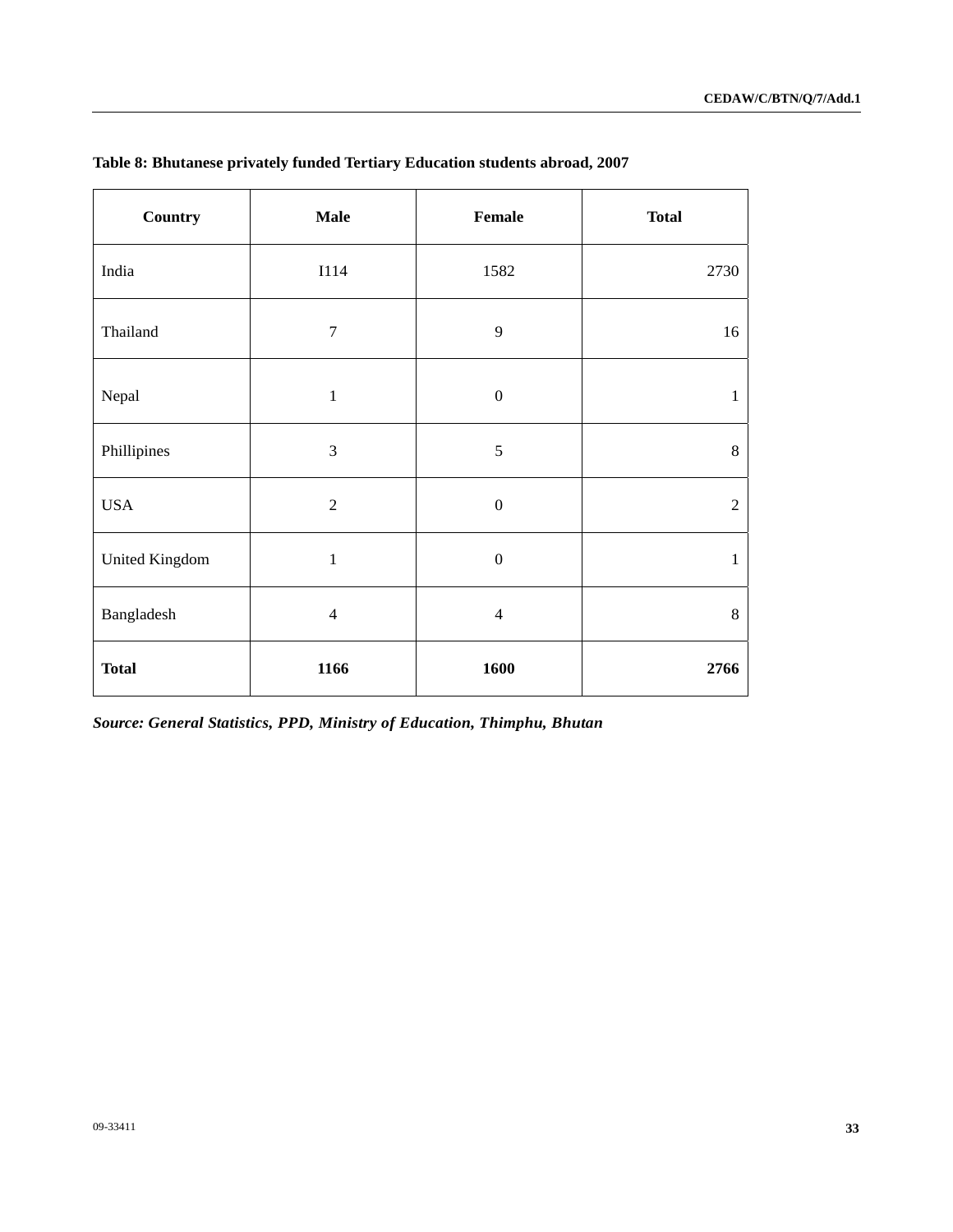| <b>Country</b> | <b>Male</b>      | Female           | <b>Total</b>   |
|----------------|------------------|------------------|----------------|
| India          | <b>I114</b>      | 1582             | 2730           |
| Thailand       | $\boldsymbol{7}$ | 9                | 16             |
| Nepal          | $\mathbf{1}$     | $\boldsymbol{0}$ | $\mathbf{1}$   |
| Phillipines    | 3                | $\mathfrak s$    | $8\,$          |
| <b>USA</b>     | $\overline{2}$   | $\boldsymbol{0}$ | $\overline{2}$ |
| United Kingdom | $\mathbf{1}$     | $\boldsymbol{0}$ | $\mathbf{1}$   |
| Bangladesh     | $\overline{4}$   | $\overline{4}$   | $\,8\,$        |
| <b>Total</b>   | 1166             | 1600             | 2766           |

## **Table 8: Bhutanese privately funded Tertiary Education students abroad, 2007**